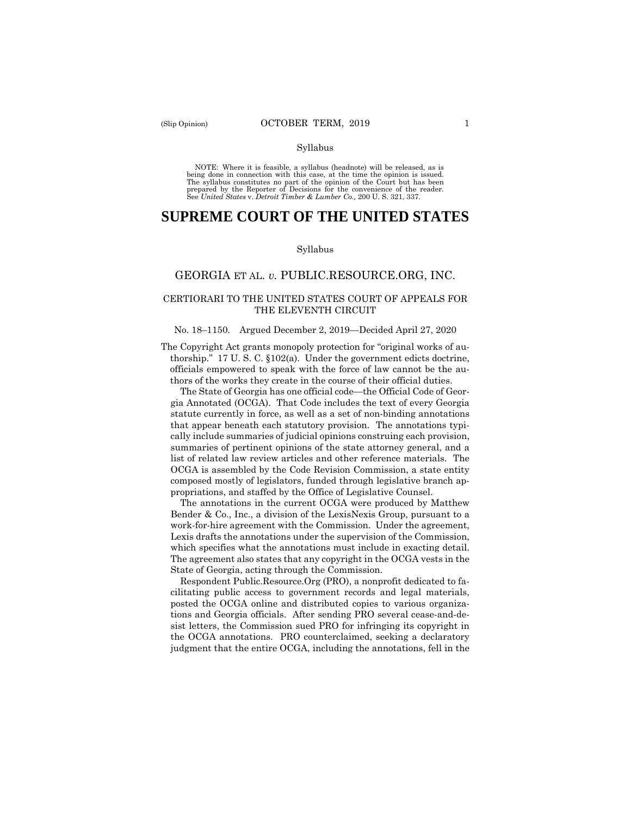#### Syllabus

 NOTE: Where it is feasible, a syllabus (headnote) will be released, as is being done in connection with this case, at the time the opinion is issued. The syllabus constitutes no part of the opinion of the Court but has been<br>prepared by the Reporter of Decisions for the convenience of the reader.<br>See United States v. Detroit Timber & Lumber Co., 200 U.S. 321, 337.

# **SUPREME COURT OF THE UNITED STATES**

#### Syllabus

## GEORGIA ET AL. *v.* PUBLIC.RESOURCE.ORG, INC.

### CERTIORARI TO THE UNITED STATES COURT OF APPEALS FOR THE ELEVENTH CIRCUIT

#### No. 18–1150. Argued December 2, 2019—Decided April 27, 2020

The Copyright Act grants monopoly protection for "original works of authorship." 17 U. S. C. §102(a). Under the government edicts doctrine, officials empowered to speak with the force of law cannot be the authors of the works they create in the course of their official duties.

The State of Georgia has one official code—the Official Code of Georgia Annotated (OCGA). That Code includes the text of every Georgia statute currently in force, as well as a set of non-binding annotations that appear beneath each statutory provision. The annotations typically include summaries of judicial opinions construing each provision, summaries of pertinent opinions of the state attorney general, and a list of related law review articles and other reference materials. The OCGA is assembled by the Code Revision Commission, a state entity composed mostly of legislators, funded through legislative branch appropriations, and staffed by the Office of Legislative Counsel.

The annotations in the current OCGA were produced by Matthew Bender & Co., Inc., a division of the LexisNexis Group, pursuant to a work-for-hire agreement with the Commission. Under the agreement, Lexis drafts the annotations under the supervision of the Commission, which specifies what the annotations must include in exacting detail. The agreement also states that any copyright in the OCGA vests in the State of Georgia, acting through the Commission.

 Respondent Public.Resource.Org (PRO), a nonprofit dedicated to facilitating public access to government records and legal materials, posted the OCGA online and distributed copies to various organizations and Georgia officials. After sending PRO several cease-and-desist letters, the Commission sued PRO for infringing its copyright in the OCGA annotations. PRO counterclaimed, seeking a declaratory judgment that the entire OCGA, including the annotations, fell in the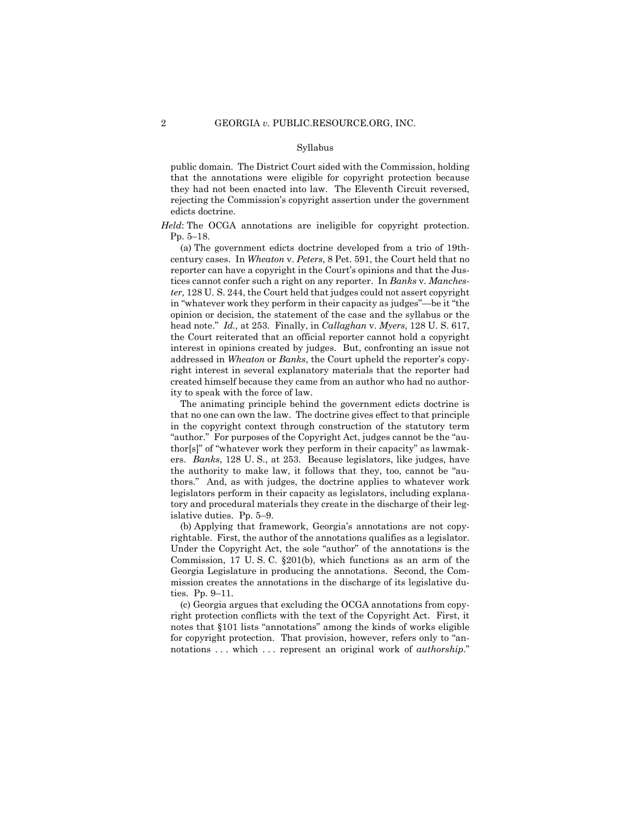#### Syllabus

public domain. The District Court sided with the Commission, holding that the annotations were eligible for copyright protection because they had not been enacted into law. The Eleventh Circuit reversed, rejecting the Commission's copyright assertion under the government edicts doctrine.

*Held*: The OCGA annotations are ineligible for copyright protection. Pp. 5–18.

(a) The government edicts doctrine developed from a trio of 19thcentury cases. In *Wheaton* v. *Peters*, 8 Pet. 591, the Court held that no reporter can have a copyright in the Court's opinions and that the Justices cannot confer such a right on any reporter. In *Banks* v. *Manchester,* 128 U. S. 244, the Court held that judges could not assert copyright in "whatever work they perform in their capacity as judges"—be it "the opinion or decision, the statement of the case and the syllabus or the head note." *Id.,* at 253. Finally, in *Callaghan* v. *Myers,* 128 U. S. 617, the Court reiterated that an official reporter cannot hold a copyright interest in opinions created by judges. But, confronting an issue not addressed in *Wheaton* or *Banks*, the Court upheld the reporter's copyright interest in several explanatory materials that the reporter had created himself because they came from an author who had no authority to speak with the force of law.

The animating principle behind the government edicts doctrine is that no one can own the law. The doctrine gives effect to that principle in the copyright context through construction of the statutory term "author." For purposes of the Copyright Act, judges cannot be the "author[s]" of "whatever work they perform in their capacity" as lawmakers. *Banks*, 128 U. S., at 253. Because legislators, like judges, have the authority to make law, it follows that they, too, cannot be "authors." And, as with judges, the doctrine applies to whatever work legislators perform in their capacity as legislators, including explanatory and procedural materials they create in the discharge of their legislative duties. Pp. 5–9.

(b) Applying that framework, Georgia's annotations are not copyrightable. First, the author of the annotations qualifies as a legislator. Under the Copyright Act, the sole "author" of the annotations is the Commission, 17 U. S. C. §201(b), which functions as an arm of the Georgia Legislature in producing the annotations. Second, the Commission creates the annotations in the discharge of its legislative duties. Pp. 9–11.

(c) Georgia argues that excluding the OCGA annotations from copyright protection conflicts with the text of the Copyright Act. First, it notes that §101 lists "annotations" among the kinds of works eligible for copyright protection. That provision, however, refers only to "annotations . . . which . . . represent an original work of *authorship*."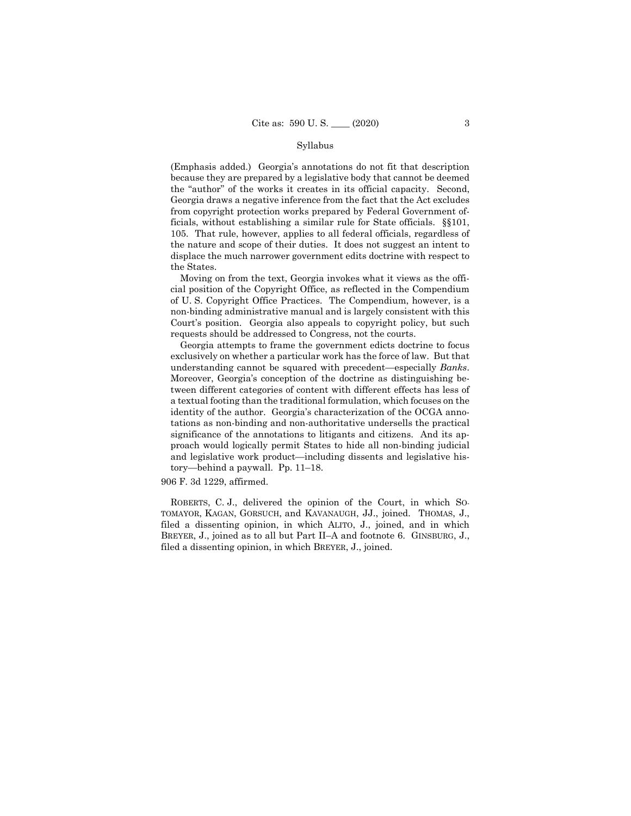#### Syllabus

(Emphasis added.) Georgia's annotations do not fit that description because they are prepared by a legislative body that cannot be deemed the "author" of the works it creates in its official capacity. Second, Georgia draws a negative inference from the fact that the Act excludes from copyright protection works prepared by Federal Government officials, without establishing a similar rule for State officials. §§101, 105. That rule, however, applies to all federal officials, regardless of the nature and scope of their duties. It does not suggest an intent to displace the much narrower government edits doctrine with respect to the States.

Moving on from the text, Georgia invokes what it views as the official position of the Copyright Office, as reflected in the Compendium of U. S. Copyright Office Practices. The Compendium, however, is a non-binding administrative manual and is largely consistent with this Court's position. Georgia also appeals to copyright policy, but such requests should be addressed to Congress, not the courts.

Georgia attempts to frame the government edicts doctrine to focus exclusively on whether a particular work has the force of law. But that understanding cannot be squared with precedent—especially *Banks*. Moreover, Georgia's conception of the doctrine as distinguishing between different categories of content with different effects has less of a textual footing than the traditional formulation, which focuses on the identity of the author. Georgia's characterization of the OCGA annotations as non-binding and non-authoritative undersells the practical significance of the annotations to litigants and citizens. And its approach would logically permit States to hide all non-binding judicial and legislative work product—including dissents and legislative history—behind a paywall. Pp. 11–18.

## 906 F. 3d 1229, affirmed.

 TOMAYOR, KAGAN, GORSUCH, and KAVANAUGH, JJ., joined. THOMAS, J., ROBERTS, C. J., delivered the opinion of the Court, in which SOfiled a dissenting opinion, in which ALITO, J., joined, and in which BREYER, J., joined as to all but Part II–A and footnote 6. GINSBURG, J., filed a dissenting opinion, in which BREYER, J., joined.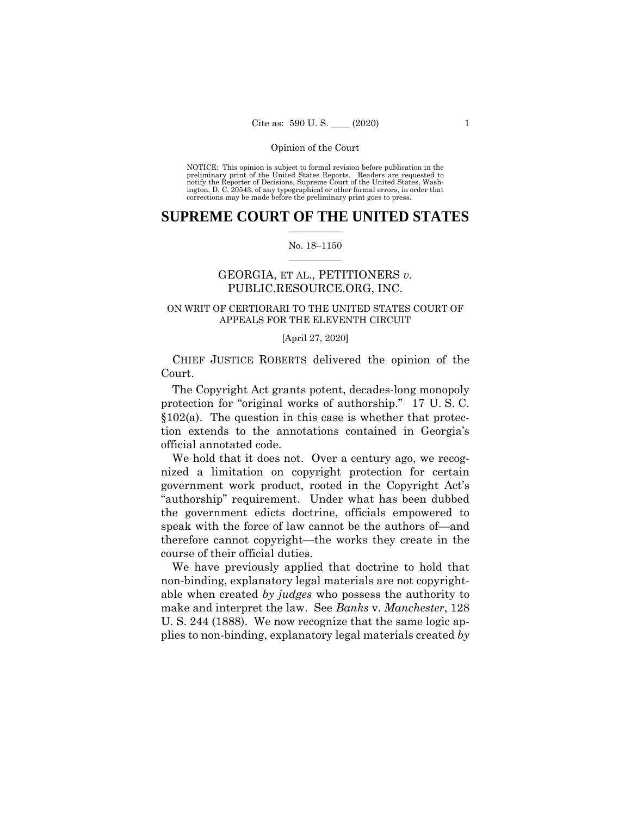NOTICE: This opinion is subject to formal revision before publication in the preliminary print of the United States Reports. Readers are requested to notify the Reporter of Decisions, Supreme Court of the United States, Wash-ington, D. C. 20543, of any typographical or other formal errors, in order that corrections may be made before the preliminary print goes to press.

## $\frac{1}{2}$  ,  $\frac{1}{2}$  ,  $\frac{1}{2}$  ,  $\frac{1}{2}$  ,  $\frac{1}{2}$  ,  $\frac{1}{2}$  ,  $\frac{1}{2}$ **SUPREME COURT OF THE UNITED STATES**

#### $\frac{1}{2}$  ,  $\frac{1}{2}$  ,  $\frac{1}{2}$  ,  $\frac{1}{2}$  ,  $\frac{1}{2}$  ,  $\frac{1}{2}$ No. 18–1150

## GEORGIA, ET AL., PETITIONERS *v.*  PUBLIC.RESOURCE.ORG, INC.

## ON WRIT OF CERTIORARI TO THE UNITED STATES COURT OF APPEALS FOR THE ELEVENTH CIRCUIT

#### [April 27, 2020]

CHIEF JUSTICE ROBERTS delivered the opinion of the Court.

The Copyright Act grants potent, decades-long monopoly protection for "original works of authorship." 17 U. S. C.  $§102(a)$ . The question in this case is whether that protection extends to the annotations contained in Georgia's official annotated code.

We hold that it does not. Over a century ago, we recognized a limitation on copyright protection for certain government work product, rooted in the Copyright Act's "authorship" requirement. Under what has been dubbed the government edicts doctrine, officials empowered to speak with the force of law cannot be the authors of—and therefore cannot copyright—the works they create in the course of their official duties.

We have previously applied that doctrine to hold that non-binding, explanatory legal materials are not copyrightable when created *by judges* who possess the authority to make and interpret the law. See *Banks* v. *Manchester*, 128 U. S. 244 (1888). We now recognize that the same logic applies to non-binding, explanatory legal materials created *by*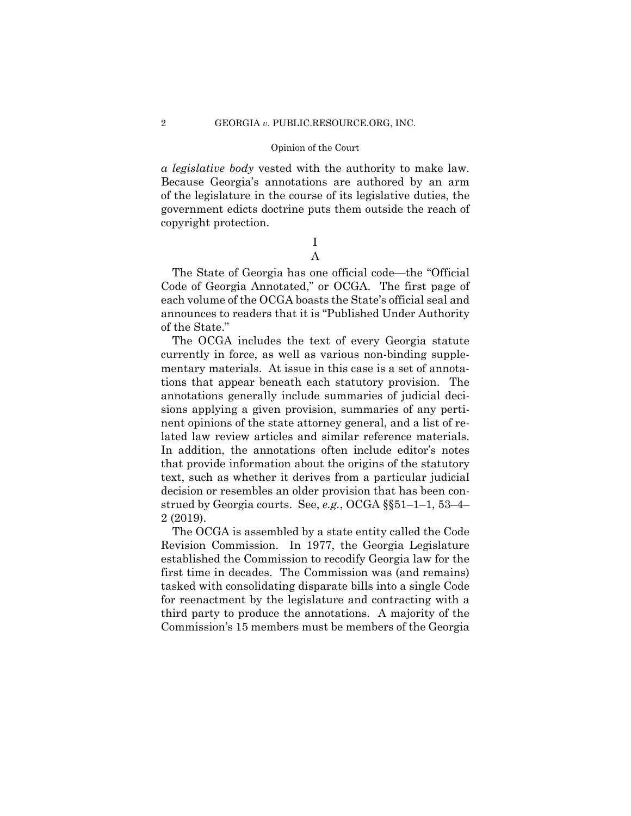#### 2 GEORGIA *v.* PUBLIC.RESOURCE.ORG, INC.

#### Opinion of the Court

*a legislative body* vested with the authority to make law. Because Georgia's annotations are authored by an arm of the legislature in the course of its legislative duties, the government edicts doctrine puts them outside the reach of copyright protection.

## I A

The State of Georgia has one official code—the "Official Code of Georgia Annotated," or OCGA. The first page of each volume of the OCGA boasts the State's official seal and announces to readers that it is "Published Under Authority of the State."

The OCGA includes the text of every Georgia statute currently in force, as well as various non-binding supplementary materials. At issue in this case is a set of annotations that appear beneath each statutory provision. The annotations generally include summaries of judicial decisions applying a given provision, summaries of any pertinent opinions of the state attorney general, and a list of related law review articles and similar reference materials. In addition, the annotations often include editor's notes that provide information about the origins of the statutory text, such as whether it derives from a particular judicial decision or resembles an older provision that has been construed by Georgia courts. See, *e.g.*, OCGA §§51–1–1, 53–4– 2 (2019).

The OCGA is assembled by a state entity called the Code Revision Commission. In 1977, the Georgia Legislature established the Commission to recodify Georgia law for the first time in decades. The Commission was (and remains) tasked with consolidating disparate bills into a single Code for reenactment by the legislature and contracting with a third party to produce the annotations. A majority of the Commission's 15 members must be members of the Georgia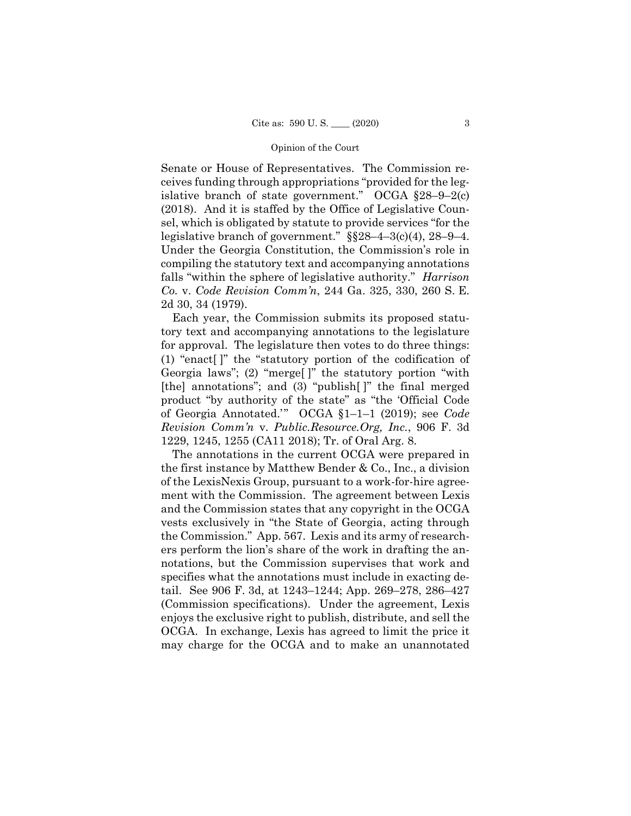Senate or House of Representatives. The Commission receives funding through appropriations "provided for the legislative branch of state government." OCGA  $§28-9-2(c)$ (2018). And it is staffed by the Office of Legislative Counsel, which is obligated by statute to provide services "for the legislative branch of government." §§28–4–3(c)(4), 28–9–4. Under the Georgia Constitution, the Commission's role in compiling the statutory text and accompanying annotations falls "within the sphere of legislative authority." *Harrison Co.* v. *Code Revision Comm'n*, 244 Ga. 325, 330, 260 S. E. 2d 30, 34 (1979).

Each year, the Commission submits its proposed statutory text and accompanying annotations to the legislature for approval. The legislature then votes to do three things: (1) "enact[ ]" the "statutory portion of the codification of Georgia laws"; (2) "merge[ ]" the statutory portion "with [the] annotations"; and (3) "publish[]" the final merged product "by authority of the state" as "the 'Official Code of Georgia Annotated.'" OCGA §1–1–1 (2019); see *Code Revision Comm'n* v. *Public.Resource.Org, Inc.*, 906 F. 3d 1229, 1245, 1255 (CA11 2018); Tr. of Oral Arg. 8.

The annotations in the current OCGA were prepared in the first instance by Matthew Bender & Co., Inc., a division of the LexisNexis Group, pursuant to a work-for-hire agreement with the Commission. The agreement between Lexis and the Commission states that any copyright in the OCGA vests exclusively in "the State of Georgia, acting through the Commission." App. 567. Lexis and its army of researchers perform the lion's share of the work in drafting the annotations, but the Commission supervises that work and specifies what the annotations must include in exacting detail. See 906 F. 3d, at 1243–1244; App. 269–278, 286–427 (Commission specifications). Under the agreement, Lexis enjoys the exclusive right to publish, distribute, and sell the OCGA. In exchange, Lexis has agreed to limit the price it may charge for the OCGA and to make an unannotated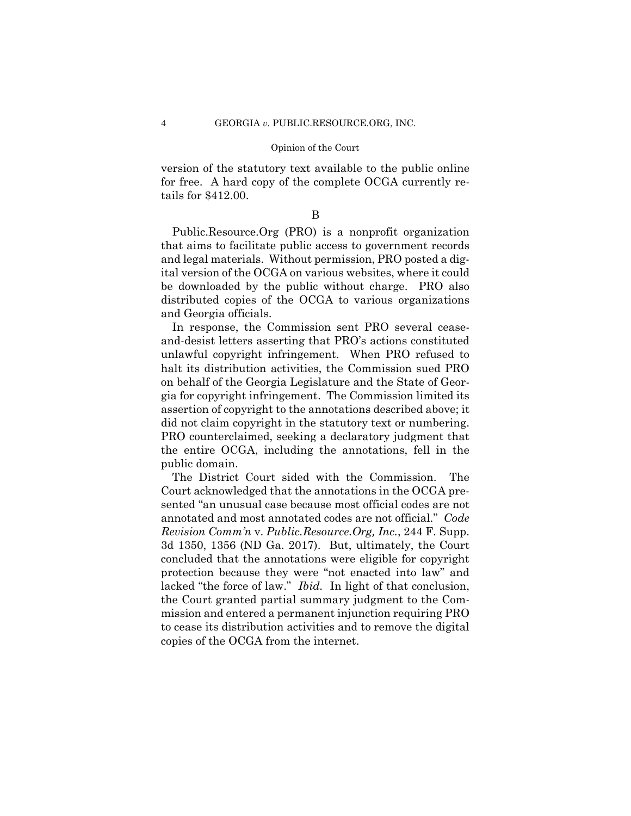version of the statutory text available to the public online for free. A hard copy of the complete OCGA currently retails for \$412.00.

B

Public.Resource.Org (PRO) is a nonprofit organization that aims to facilitate public access to government records and legal materials. Without permission, PRO posted a digital version of the OCGA on various websites, where it could be downloaded by the public without charge. PRO also distributed copies of the OCGA to various organizations and Georgia officials.

In response, the Commission sent PRO several ceaseand-desist letters asserting that PRO's actions constituted unlawful copyright infringement. When PRO refused to halt its distribution activities, the Commission sued PRO on behalf of the Georgia Legislature and the State of Georgia for copyright infringement. The Commission limited its assertion of copyright to the annotations described above; it did not claim copyright in the statutory text or numbering. PRO counterclaimed, seeking a declaratory judgment that the entire OCGA, including the annotations, fell in the public domain.

The District Court sided with the Commission. The Court acknowledged that the annotations in the OCGA presented "an unusual case because most official codes are not annotated and most annotated codes are not official*.*" *Code Revision Comm'n* v. *Public.Resource.Org, Inc.*, 244 F. Supp. 3d 1350, 1356 (ND Ga. 2017). But, ultimately, the Court concluded that the annotations were eligible for copyright protection because they were "not enacted into law" and lacked "the force of law." *Ibid.* In light of that conclusion, the Court granted partial summary judgment to the Commission and entered a permanent injunction requiring PRO to cease its distribution activities and to remove the digital copies of the OCGA from the internet.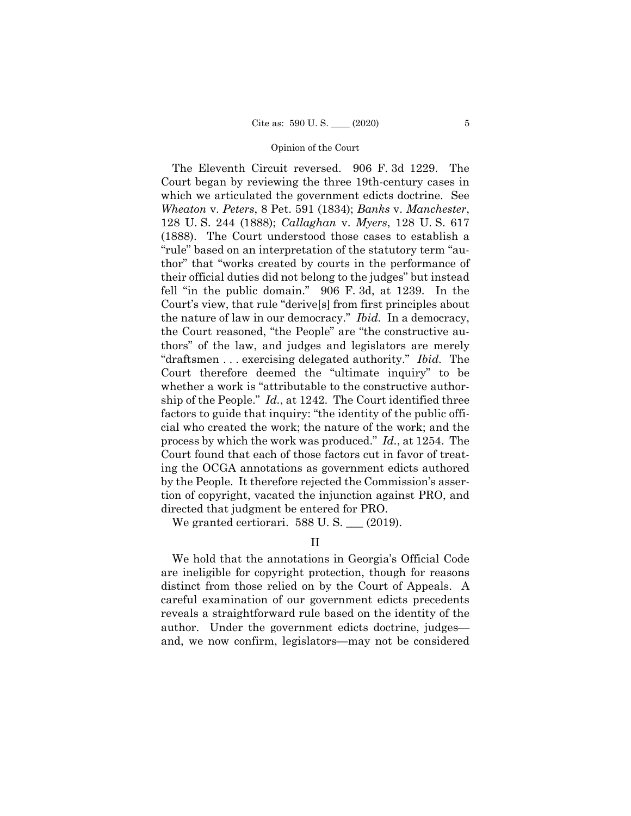"draftsmen . . . exercising delegated authority." *Ibid.* The The Eleventh Circuit reversed. 906 F. 3d 1229. The Court began by reviewing the three 19th-century cases in which we articulated the government edicts doctrine. See *Wheaton* v. *Peters*, 8 Pet. 591 (1834); *Banks* v. *Manchester*, 128 U. S. 244 (1888); *Callaghan* v. *Myers*, 128 U. S. 617 (1888). The Court understood those cases to establish a "rule" based on an interpretation of the statutory term "author" that "works created by courts in the performance of their official duties did not belong to the judges" but instead fell "in the public domain." 906 F. 3d, at 1239. In the Court's view, that rule "derive[s] from first principles about the nature of law in our democracy." *Ibid.* In a democracy, the Court reasoned, "the People" are "the constructive authors" of the law, and judges and legislators are merely Court therefore deemed the "ultimate inquiry" to be whether a work is "attributable to the constructive authorship of the People." *Id.*, at 1242. The Court identified three factors to guide that inquiry: "the identity of the public official who created the work; the nature of the work; and the process by which the work was produced." *Id.*, at 1254. The Court found that each of those factors cut in favor of treating the OCGA annotations as government edicts authored by the People. It therefore rejected the Commission's assertion of copyright, vacated the injunction against PRO, and directed that judgment be entered for PRO.

We granted certiorari.  $588$  U.S.  $\_\_$  (2019).

II

We hold that the annotations in Georgia's Official Code are ineligible for copyright protection, though for reasons distinct from those relied on by the Court of Appeals. A careful examination of our government edicts precedents reveals a straightforward rule based on the identity of the author. Under the government edicts doctrine, judges and, we now confirm, legislators—may not be considered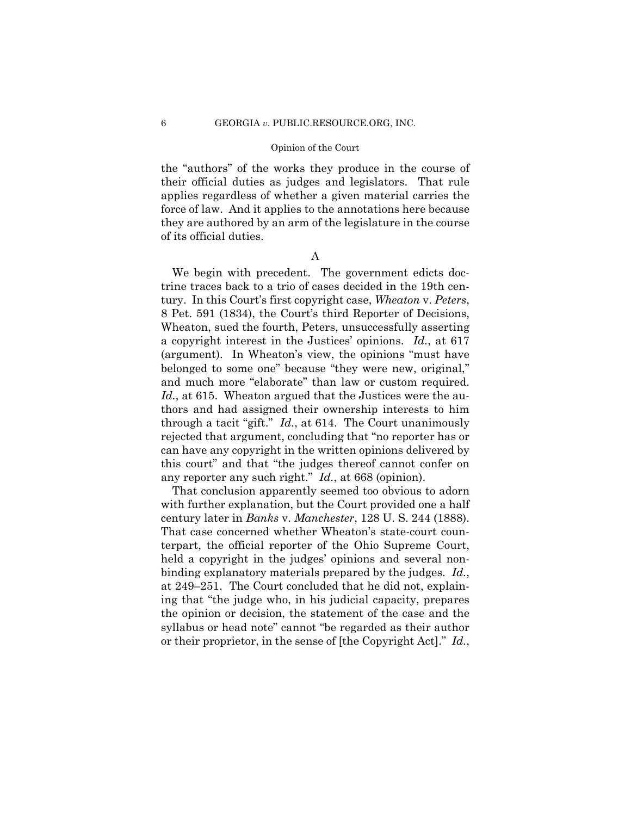the "authors" of the works they produce in the course of their official duties as judges and legislators. That rule applies regardless of whether a given material carries the force of law. And it applies to the annotations here because they are authored by an arm of the legislature in the course of its official duties.

A

 through a tacit "gift." *Id.*, at 614. The Court unanimously We begin with precedent. The government edicts doctrine traces back to a trio of cases decided in the 19th century. In this Court's first copyright case, *Wheaton* v. *Peters*, 8 Pet. 591 (1834), the Court's third Reporter of Decisions, Wheaton, sued the fourth, Peters, unsuccessfully asserting a copyright interest in the Justices' opinions. *Id.*, at 617 (argument). In Wheaton's view, the opinions "must have belonged to some one" because "they were new, original," and much more "elaborate" than law or custom required. *Id.*, at 615. Wheaton argued that the Justices were the authors and had assigned their ownership interests to him rejected that argument, concluding that "no reporter has or can have any copyright in the written opinions delivered by this court" and that "the judges thereof cannot confer on any reporter any such right." *Id.*, at 668 (opinion).

That conclusion apparently seemed too obvious to adorn with further explanation, but the Court provided one a half century later in *Banks* v. *Manchester*, 128 U. S. 244 (1888). That case concerned whether Wheaton's state-court counterpart, the official reporter of the Ohio Supreme Court, held a copyright in the judges' opinions and several nonbinding explanatory materials prepared by the judges. *Id.*, at 249–251. The Court concluded that he did not, explaining that "the judge who, in his judicial capacity, prepares the opinion or decision, the statement of the case and the syllabus or head note" cannot "be regarded as their author or their proprietor, in the sense of [the Copyright Act]." *Id.*,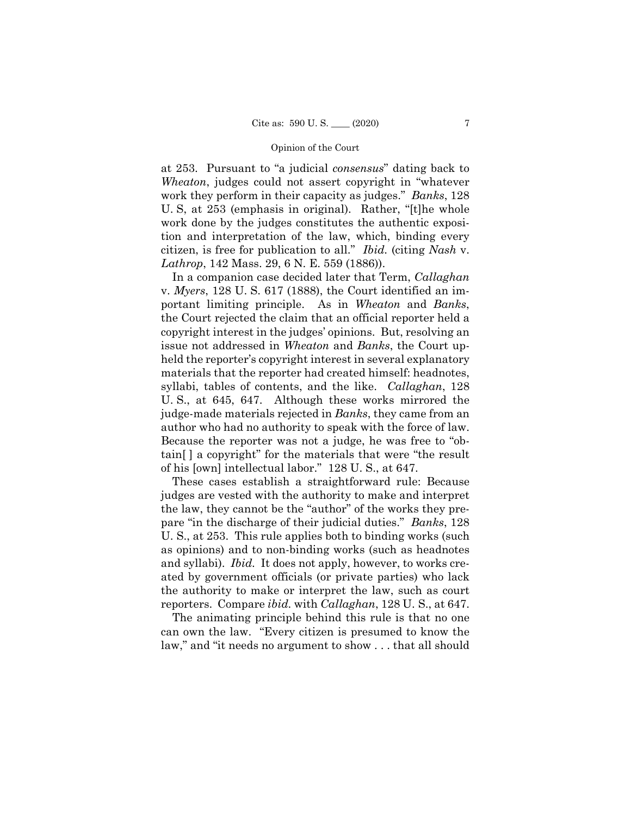U. S, at 253 (emphasis in original). Rather, "[t]he whole at 253. Pursuant to "a judicial *consensus*" dating back to *Wheaton*, judges could not assert copyright in "whatever work they perform in their capacity as judges." *Banks*, 128 work done by the judges constitutes the authentic exposition and interpretation of the law, which, binding every citizen, is free for publication to all." *Ibid.* (citing *Nash* v. *Lathrop*, 142 Mass. 29, 6 N. E. 559 (1886)).

 author who had no authority to speak with the force of law. In a companion case decided later that Term, *Callaghan*  v. *Myers*, 128 U. S. 617 (1888), the Court identified an important limiting principle. As in *Wheaton* and *Banks*, the Court rejected the claim that an official reporter held a copyright interest in the judges' opinions. But, resolving an issue not addressed in *Wheaton* and *Banks*, the Court upheld the reporter's copyright interest in several explanatory materials that the reporter had created himself: headnotes, syllabi, tables of contents, and the like. *Callaghan*, 128 U. S., at 645, 647. Although these works mirrored the judge-made materials rejected in *Banks*, they came from an Because the reporter was not a judge, he was free to "obtain[ ] a copyright" for the materials that were "the result of his [own] intellectual labor." 128 U. S., at 647.

 and syllabi). *Ibid.* It does not apply, however, to works cre-These cases establish a straightforward rule: Because judges are vested with the authority to make and interpret the law, they cannot be the "author" of the works they prepare "in the discharge of their judicial duties." *Banks*, 128 U. S., at 253. This rule applies both to binding works (such as opinions) and to non-binding works (such as headnotes ated by government officials (or private parties) who lack the authority to make or interpret the law, such as court reporters. Compare *ibid.* with *Callaghan*, 128 U. S., at 647.

The animating principle behind this rule is that no one can own the law. "Every citizen is presumed to know the law," and "it needs no argument to show . . . that all should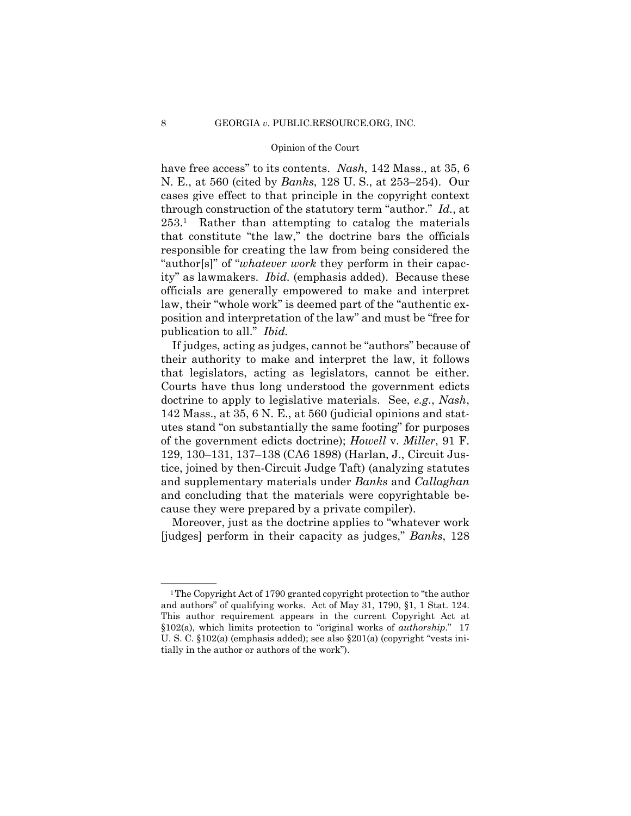have free access" to its contents. *Nash*, 142 Mass., at 35, 6 N. E., at 560 (cited by *Banks*, 128 U. S., at 253–254). Our cases give effect to that principle in the copyright context through construction of the statutory term "author." *Id.*, at 253.1 Rather than attempting to catalog the materials that constitute "the law," the doctrine bars the officials responsible for creating the law from being considered the "author[s]" of "*whatever work* they perform in their capacity" as lawmakers. *Ibid.* (emphasis added). Because these officials are generally empowered to make and interpret law, their "whole work" is deemed part of the "authentic exposition and interpretation of the law" and must be "free for publication to all." *Ibid.* 

If judges, acting as judges, cannot be "authors" because of their authority to make and interpret the law, it follows that legislators, acting as legislators, cannot be either. Courts have thus long understood the government edicts doctrine to apply to legislative materials. See, *e.g.*, *Nash*, 142 Mass., at 35, 6 N. E., at 560 (judicial opinions and statutes stand "on substantially the same footing" for purposes of the government edicts doctrine); *Howell* v. *Miller*, 91 F. 129, 130–131, 137–138 (CA6 1898) (Harlan, J., Circuit Justice, joined by then-Circuit Judge Taft) (analyzing statutes and supplementary materials under *Banks* and *Callaghan* and concluding that the materials were copyrightable because they were prepared by a private compiler).

Moreover, just as the doctrine applies to "whatever work [judges] perform in their capacity as judges," *Banks*, 128

and authors" of qualifying works. Act of May 31, 1790, §1, 1 Stat. 124. and authors" of qualifying works. Act of May 31, 1790, §1, 1 Stat. 124. This author requirement appears in the current Copyright Act at <sup>1</sup>The Copyright Act of 1790 granted copyright protection to "the author §102(a), which limits protection to "original works of *authorship*." 17 U. S. C. §102(a) (emphasis added); see also §201(a) (copyright "vests initially in the author or authors of the work").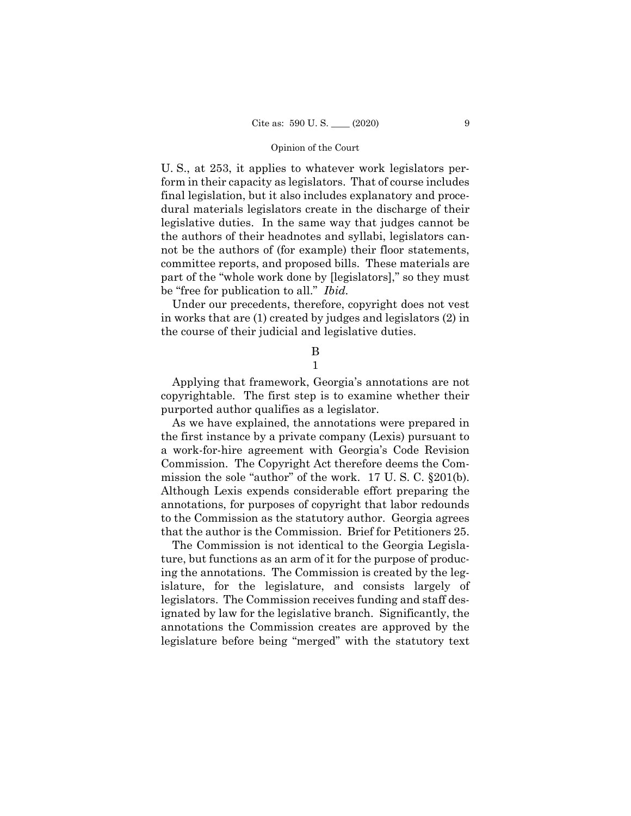U. S., at 253, it applies to whatever work legislators perform in their capacity as legislators. That of course includes final legislation, but it also includes explanatory and procedural materials legislators create in the discharge of their legislative duties. In the same way that judges cannot be the authors of their headnotes and syllabi, legislators cannot be the authors of (for example) their floor statements, committee reports, and proposed bills. These materials are part of the "whole work done by [legislators]," so they must be "free for publication to all." *Ibid.* 

Under our precedents, therefore, copyright does not vest in works that are (1) created by judges and legislators (2) in the course of their judicial and legislative duties.

> B 1

Applying that framework, Georgia's annotations are not copyrightable. The first step is to examine whether their purported author qualifies as a legislator.

As we have explained, the annotations were prepared in the first instance by a private company (Lexis) pursuant to a work-for-hire agreement with Georgia's Code Revision Commission. The Copyright Act therefore deems the Commission the sole "author" of the work. 17 U. S. C. §201(b). Although Lexis expends considerable effort preparing the annotations, for purposes of copyright that labor redounds to the Commission as the statutory author. Georgia agrees that the author is the Commission. Brief for Petitioners 25.

The Commission is not identical to the Georgia Legislature, but functions as an arm of it for the purpose of producing the annotations. The Commission is created by the legislature, for the legislature, and consists largely of legislators. The Commission receives funding and staff designated by law for the legislative branch. Significantly, the annotations the Commission creates are approved by the legislature before being "merged" with the statutory text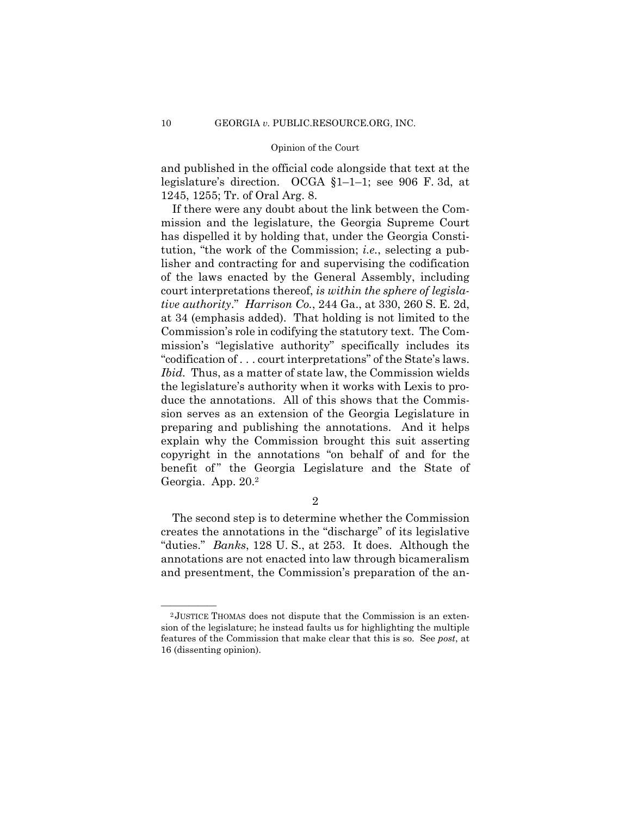and published in the official code alongside that text at the legislature's direction. OCGA §1–1–1; see 906 F. 3d, at 1245, 1255; Tr. of Oral Arg. 8.

If there were any doubt about the link between the Commission and the legislature, the Georgia Supreme Court has dispelled it by holding that, under the Georgia Constitution, "the work of the Commission; *i.e.*, selecting a publisher and contracting for and supervising the codification of the laws enacted by the General Assembly, including court interpretations thereof, *is within the sphere of legislative authority*." *Harrison Co.*, 244 Ga., at 330, 260 S. E. 2d, at 34 (emphasis added). That holding is not limited to the Commission's role in codifying the statutory text. The Commission's "legislative authority" specifically includes its "codification of . . . court interpretations" of the State's laws. *Ibid.* Thus, as a matter of state law, the Commission wields the legislature's authority when it works with Lexis to produce the annotations. All of this shows that the Commission serves as an extension of the Georgia Legislature in preparing and publishing the annotations. And it helps explain why the Commission brought this suit asserting copyright in the annotations "on behalf of and for the benefit of" the Georgia Legislature and the State of Georgia. App. 20.2

2

The second step is to determine whether the Commission creates the annotations in the "discharge" of its legislative "duties." *Banks*, 128 U. S., at 253. It does. Although the annotations are not enacted into law through bicameralism and presentment, the Commission's preparation of the an-

 $2$ JUSTICE THOMAS does not dispute that the Commission is an extension of the legislature; he instead faults us for highlighting the multiple features of the Commission that make clear that this is so. See *post*, at 16 (dissenting opinion).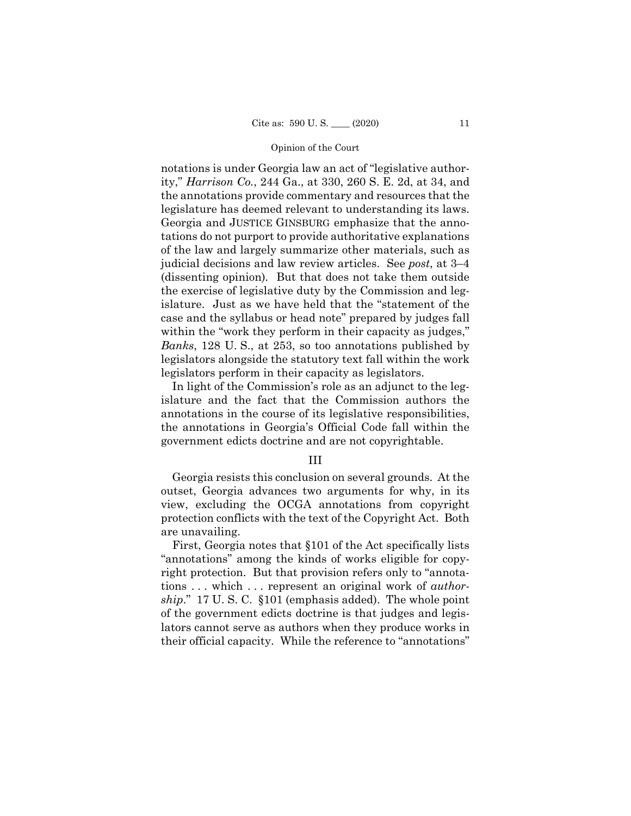notations is under Georgia law an act of "legislative authority," *Harrison Co.*, 244 Ga., at 330, 260 S. E. 2d, at 34, and the annotations provide commentary and resources that the legislature has deemed relevant to understanding its laws. Georgia and JUSTICE GINSBURG emphasize that the annotations do not purport to provide authoritative explanations of the law and largely summarize other materials, such as judicial decisions and law review articles. See *post*, at 3–4 (dissenting opinion)*.* But that does not take them outside the exercise of legislative duty by the Commission and legislature. Just as we have held that the "statement of the case and the syllabus or head note" prepared by judges fall within the "work they perform in their capacity as judges," *Banks*, 128 U. S., at 253, so too annotations published by legislators alongside the statutory text fall within the work legislators perform in their capacity as legislators.

In light of the Commission's role as an adjunct to the legislature and the fact that the Commission authors the annotations in the course of its legislative responsibilities, the annotations in Georgia's Official Code fall within the government edicts doctrine and are not copyrightable.

## III

Georgia resists this conclusion on several grounds. At the outset, Georgia advances two arguments for why, in its view, excluding the OCGA annotations from copyright protection conflicts with the text of the Copyright Act. Both are unavailing.

First, Georgia notes that §101 of the Act specifically lists "annotations" among the kinds of works eligible for copyright protection. But that provision refers only to "annotations . . . which . . . represent an original work of *authorship*." 17 U. S. C. §101 (emphasis added). The whole point of the government edicts doctrine is that judges and legislators cannot serve as authors when they produce works in their official capacity. While the reference to "annotations"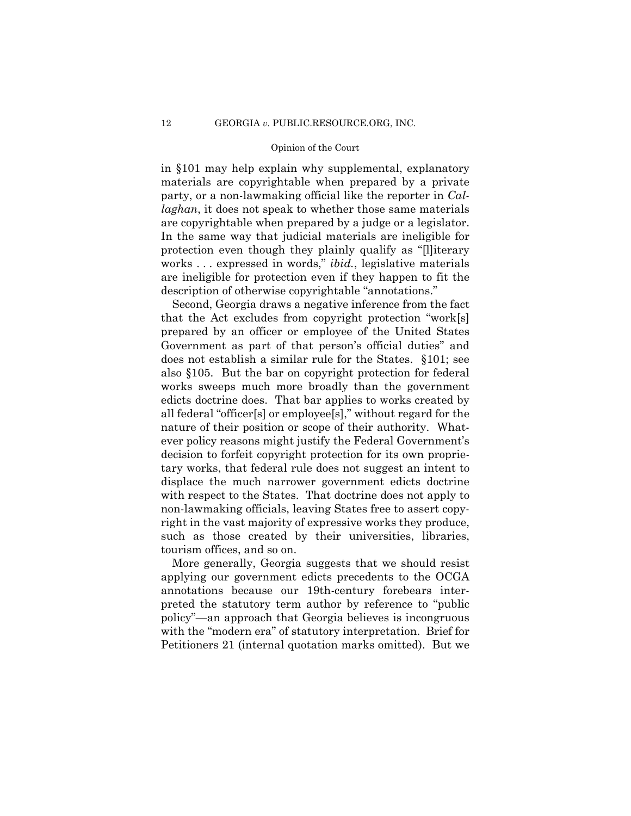in §101 may help explain why supplemental, explanatory materials are copyrightable when prepared by a private party, or a non-lawmaking official like the reporter in *Callaghan*, it does not speak to whether those same materials are copyrightable when prepared by a judge or a legislator. In the same way that judicial materials are ineligible for protection even though they plainly qualify as "[l]iterary works . . . expressed in words," *ibid.*, legislative materials are ineligible for protection even if they happen to fit the description of otherwise copyrightable "annotations."

Second, Georgia draws a negative inference from the fact that the Act excludes from copyright protection "work[s] prepared by an officer or employee of the United States Government as part of that person's official duties" and does not establish a similar rule for the States. §101; see also §105. But the bar on copyright protection for federal works sweeps much more broadly than the government edicts doctrine does. That bar applies to works created by all federal "officer[s] or employee[s]," without regard for the nature of their position or scope of their authority. Whatever policy reasons might justify the Federal Government's decision to forfeit copyright protection for its own proprietary works, that federal rule does not suggest an intent to displace the much narrower government edicts doctrine with respect to the States. That doctrine does not apply to non-lawmaking officials, leaving States free to assert copyright in the vast majority of expressive works they produce, such as those created by their universities, libraries, tourism offices, and so on.

More generally, Georgia suggests that we should resist applying our government edicts precedents to the OCGA annotations because our 19th-century forebears interpreted the statutory term author by reference to "public policy"—an approach that Georgia believes is incongruous with the "modern era" of statutory interpretation. Brief for Petitioners 21 (internal quotation marks omitted). But we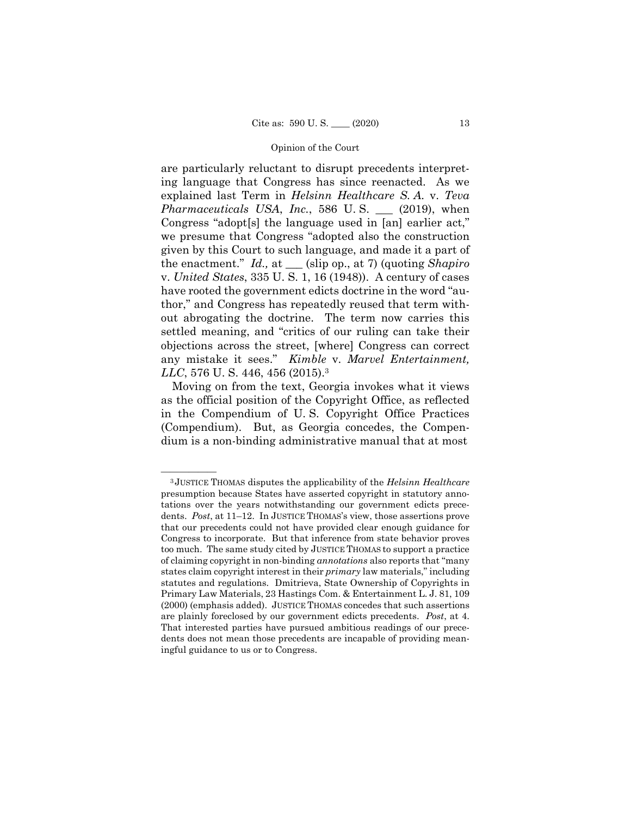are particularly reluctant to disrupt precedents interpreting language that Congress has since reenacted. As we explained last Term in *Helsinn Healthcare S. A.* v. *Teva Pharmaceuticals USA*, *Inc.*, 586 U. S. \_\_\_ (2019), when Congress "adopt[s] the language used in [an] earlier act," we presume that Congress "adopted also the construction given by this Court to such language, and made it a part of the enactment." *Id.,* at \_\_\_ (slip op., at 7) (quoting *Shapiro*  v. *United States*, 335 U. S. 1, 16 (1948)). A century of cases have rooted the government edicts doctrine in the word "author," and Congress has repeatedly reused that term without abrogating the doctrine. The term now carries this settled meaning, and "critics of our ruling can take their objections across the street, [where] Congress can correct any mistake it sees." *Kimble* v. *Marvel Entertainment, LLC*, 576 U. S. 446, 456 (2015).3

Moving on from the text, Georgia invokes what it views as the official position of the Copyright Office, as reflected in the Compendium of U. S. Copyright Office Practices (Compendium). But, as Georgia concedes, the Compendium is a non-binding administrative manual that at most

<sup>—————— 3</sup> JUSTICE THOMAS disputes the applicability of the *Helsinn Healthcare*  presumption because States have asserted copyright in statutory annotations over the years notwithstanding our government edicts precedents. *Post*, at 11–12. In JUSTICE THOMAS's view, those assertions prove that our precedents could not have provided clear enough guidance for Congress to incorporate. But that inference from state behavior proves too much. The same study cited by JUSTICE THOMAS to support a practice of claiming copyright in non-binding *annotations* also reports that "many states claim copyright interest in their *primary* law materials," including statutes and regulations. Dmitrieva, State Ownership of Copyrights in Primary Law Materials, 23 Hastings Com. & Entertainment L. J. 81, 109 (2000) (emphasis added). JUSTICE THOMAS concedes that such assertions are plainly foreclosed by our government edicts precedents. *Post*, at 4. That interested parties have pursued ambitious readings of our precedents does not mean those precedents are incapable of providing meaningful guidance to us or to Congress.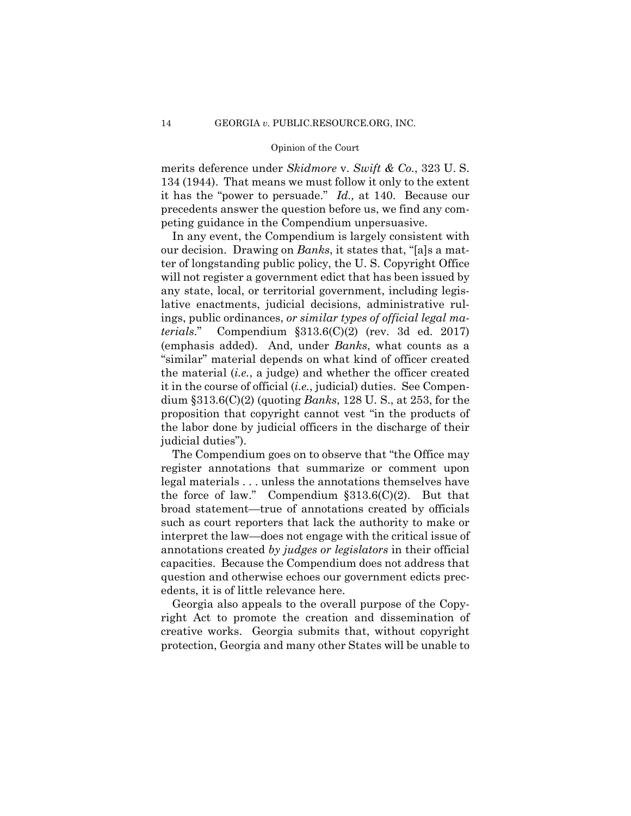merits deference under *Skidmore* v. *Swift & Co.*, 323 U. S. 134 (1944). That means we must follow it only to the extent it has the "power to persuade." *Id.,* at 140. Because our precedents answer the question before us, we find any competing guidance in the Compendium unpersuasive.

In any event, the Compendium is largely consistent with our decision. Drawing on *Banks*, it states that, "[a]s a matter of longstanding public policy, the U. S. Copyright Office will not register a government edict that has been issued by any state, local, or territorial government, including legislative enactments, judicial decisions, administrative rulings, public ordinances, *or similar types of official legal materials*." Compendium §313.6(C)(2) (rev. 3d ed. 2017) (emphasis added). And, under *Banks*, what counts as a "similar" material depends on what kind of officer created the material (*i.e.*, a judge) and whether the officer created it in the course of official (*i.e.*, judicial) duties. See Compendium §313.6(C)(2) (quoting *Banks*, 128 U. S., at 253, for the proposition that copyright cannot vest "in the products of the labor done by judicial officers in the discharge of their judicial duties").

The Compendium goes on to observe that "the Office may register annotations that summarize or comment upon legal materials . . . unless the annotations themselves have the force of law." Compendium  $$313.6(C)(2)$ . But that broad statement—true of annotations created by officials such as court reporters that lack the authority to make or interpret the law—does not engage with the critical issue of annotations created *by judges or legislators* in their official capacities. Because the Compendium does not address that question and otherwise echoes our government edicts precedents, it is of little relevance here.

Georgia also appeals to the overall purpose of the Copyright Act to promote the creation and dissemination of creative works. Georgia submits that, without copyright protection, Georgia and many other States will be unable to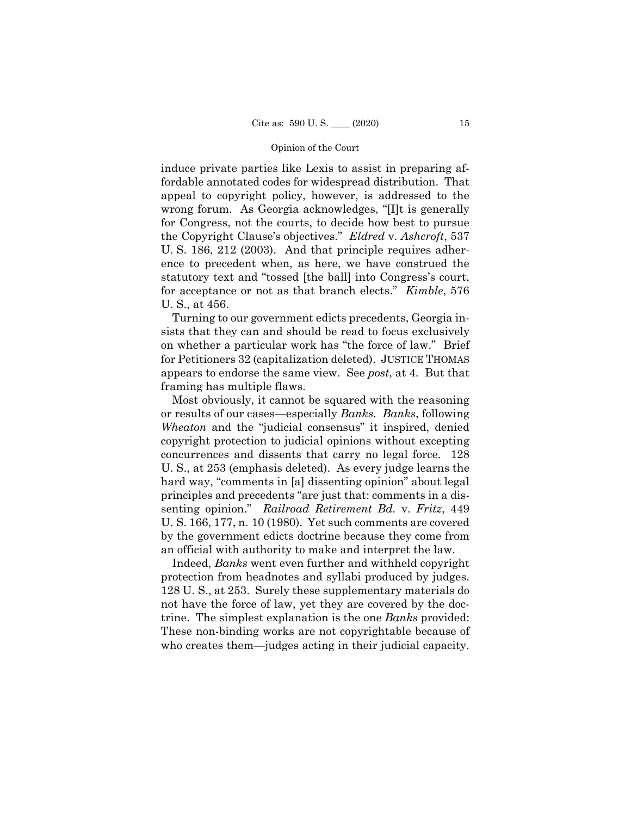for acceptance or not as that branch elects." *Kimble*, 576 induce private parties like Lexis to assist in preparing affordable annotated codes for widespread distribution. That appeal to copyright policy, however, is addressed to the wrong forum. As Georgia acknowledges, "[I]t is generally for Congress, not the courts, to decide how best to pursue the Copyright Clause's objectives." *Eldred* v. *Ashcroft*, 537 U. S. 186, 212 (2003). And that principle requires adherence to precedent when, as here, we have construed the statutory text and "tossed [the ball] into Congress's court, U. S., at 456.

Turning to our government edicts precedents, Georgia insists that they can and should be read to focus exclusively on whether a particular work has "the force of law." Brief for Petitioners 32 (capitalization deleted). JUSTICE THOMAS appears to endorse the same view. See *post*, at 4. But that framing has multiple flaws.

Most obviously, it cannot be squared with the reasoning or results of our cases—especially *Banks*. *Banks*, following *Wheaton* and the "judicial consensus" it inspired, denied copyright protection to judicial opinions without excepting concurrences and dissents that carry no legal force. 128 U. S., at 253 (emphasis deleted). As every judge learns the hard way, "comments in [a] dissenting opinion" about legal principles and precedents "are just that: comments in a dissenting opinion." *Railroad Retirement Bd.* v. *Fritz*, 449 U. S. 166, 177, n. 10 (1980). Yet such comments are covered by the government edicts doctrine because they come from an official with authority to make and interpret the law.

 protection from headnotes and syllabi produced by judges. who creates them—judges acting in their judicial capacity. Indeed, *Banks* went even further and withheld copyright 128 U. S., at 253. Surely these supplementary materials do not have the force of law, yet they are covered by the doctrine. The simplest explanation is the one *Banks* provided: These non-binding works are not copyrightable because of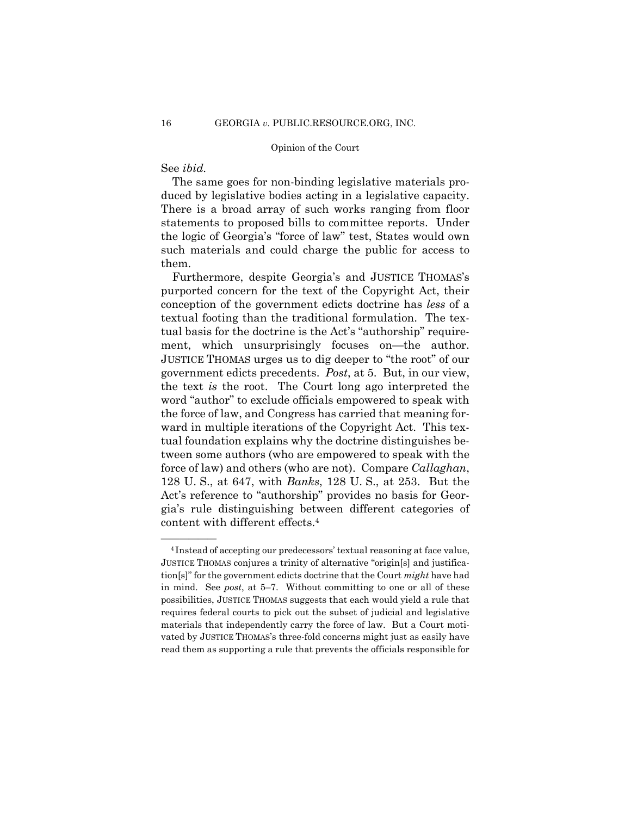## See *ibid.*

The same goes for non-binding legislative materials produced by legislative bodies acting in a legislative capacity. There is a broad array of such works ranging from floor statements to proposed bills to committee reports. Under the logic of Georgia's "force of law" test, States would own such materials and could charge the public for access to them.

Furthermore, despite Georgia's and JUSTICE THOMAS's purported concern for the text of the Copyright Act, their conception of the government edicts doctrine has *less* of a textual footing than the traditional formulation. The textual basis for the doctrine is the Act's "authorship" requirement, which unsurprisingly focuses on—the author.<br>JUSTICE THOMAS urges us to dig deeper to "the root" of our government edicts precedents. *Post*, at 5. But, in our view, the text *is* the root. The Court long ago interpreted the word "author" to exclude officials empowered to speak with the force of law, and Congress has carried that meaning forward in multiple iterations of the Copyright Act. This textual foundation explains why the doctrine distinguishes between some authors (who are empowered to speak with the force of law) and others (who are not). Compare *Callaghan*, 128 U. S., at 647, with *Banks*, 128 U. S., at 253. But the Act's reference to "authorship" provides no basis for Georgia's rule distinguishing between different categories of content with different effects.4

<sup>&</sup>lt;sup>4</sup> Instead of accepting our predecessors' textual reasoning at face value, JUSTICE THOMAS conjures a trinity of alternative "origin[s] and justification[s]" for the government edicts doctrine that the Court *might* have had in mind. See *post*, at 5–7. Without committing to one or all of these possibilities, JUSTICE THOMAS suggests that each would yield a rule that requires federal courts to pick out the subset of judicial and legislative materials that independently carry the force of law. But a Court motivated by JUSTICE THOMAS's three-fold concerns might just as easily have read them as supporting a rule that prevents the officials responsible for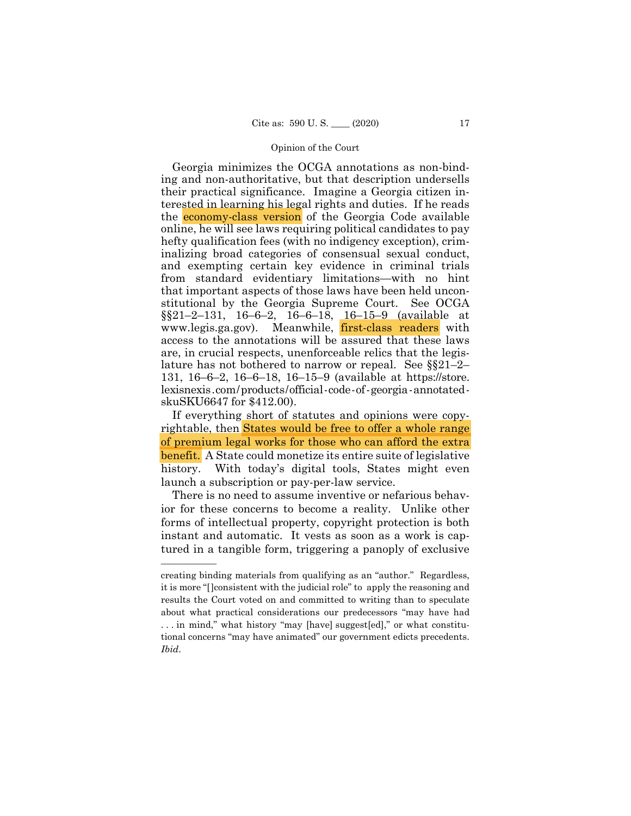lature has not bothered to narrow or repeal. See §§21–2– lexisnexis.com/products/official-code-of-georgia-annotated-Georgia minimizes the OCGA annotations as non-binding and non-authoritative, but that description undersells their practical significance. Imagine a Georgia citizen interested in learning his legal rights and duties. If he reads the economy-class version of the Georgia Code available online, he will see laws requiring political candidates to pay hefty qualification fees (with no indigency exception), criminalizing broad categories of consensual sexual conduct, and exempting certain key evidence in criminal trials from standard evidentiary limitations—with no hint that important aspects of those laws have been held unconstitutional by the Georgia Supreme Court. See OCGA  $\S21-2-131$ , 16-6-2, 16-6-18, 16-15-9 (available at www.legis.ga.gov). Meanwhile, first-class readers with access to the annotations will be assured that these laws are, in crucial respects, unenforceable relics that the legis-131, 16–6–2, 16–6–18, 16–15–9 (available at https://store. skuSKU6647 for \$412.00).

If everything short of statutes and opinions were copyrightable, then States would be free to offer a whole range of premium legal works for those who can afford the extra benefit. A State could monetize its entire suite of legislative history. With today's digital tools, States might even launch a subscription or pay-per-law service.

There is no need to assume inventive or nefarious behavior for these concerns to become a reality. Unlike other forms of intellectual property, copyright protection is both instant and automatic. It vests as soon as a work is captured in a tangible form, triggering a panoply of exclusive

creating binding materials from qualifying as an "author." Regardless, it is more "[]consistent with the judicial role" to apply the reasoning and results the Court voted on and committed to writing than to speculate about what practical considerations our predecessors "may have had . . . in mind," what history "may [have] suggest[ed]," or what constitutional concerns "may have animated" our government edicts precedents. *Ibid*.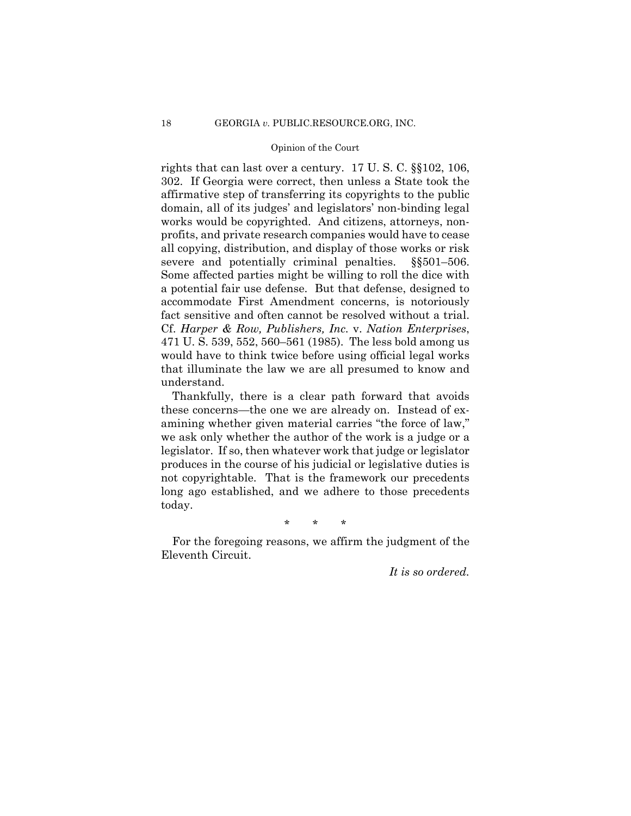fact sensitive and often cannot be resolved without a trial. rights that can last over a century. 17 U. S. C. §§102, 106, 302. If Georgia were correct, then unless a State took the affirmative step of transferring its copyrights to the public domain, all of its judges' and legislators' non-binding legal works would be copyrighted. And citizens, attorneys, nonprofits, and private research companies would have to cease all copying, distribution, and display of those works or risk severe and potentially criminal penalties.  $\S$ §501–506. Some affected parties might be willing to roll the dice with a potential fair use defense. But that defense, designed to accommodate First Amendment concerns, is notoriously factor *factor and a ten cannot a trial. Cf. Harper & Row, Publishers, Inc. v. Nation Enterprises,* 471 U. S. 539, 552, 560–561 (1985). The less bold among us would have to think twice before using official legal works that illuminate the law we are all presumed to know and understand.

Thankfully, there is a clear path forward that avoids these concerns—the one we are already on. Instead of examining whether given material carries "the force of law," we ask only whether the author of the work is a judge or a legislator. If so, then whatever work that judge or legislator produces in the course of his judicial or legislative duties is not copyrightable. That is the framework our precedents long ago established, and we adhere to those precedents today.

\* \* \*

For the foregoing reasons, we affirm the judgment of the Eleventh Circuit.

*It is so ordered.*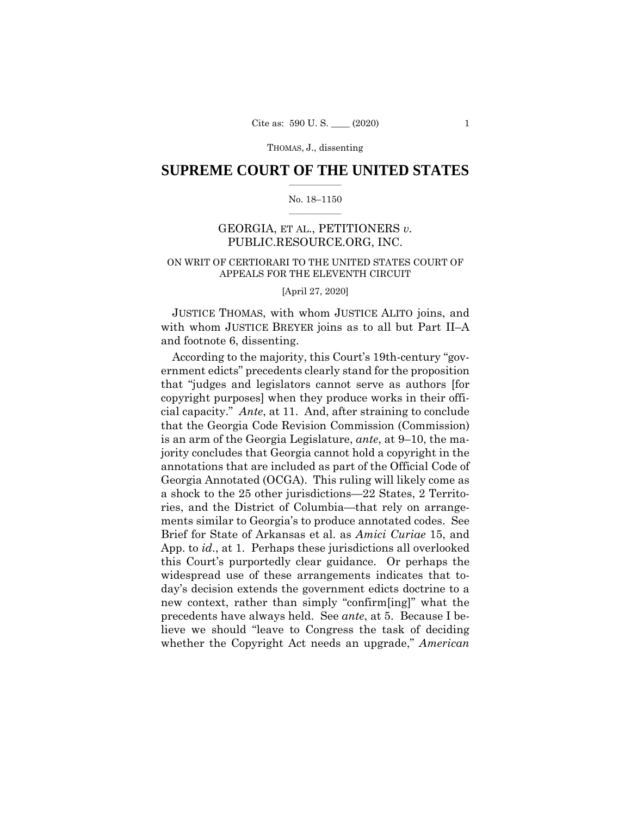## $\frac{1}{2}$  ,  $\frac{1}{2}$  ,  $\frac{1}{2}$  ,  $\frac{1}{2}$  ,  $\frac{1}{2}$  ,  $\frac{1}{2}$  ,  $\frac{1}{2}$ **SUPREME COURT OF THE UNITED STATES**

#### $\frac{1}{2}$  ,  $\frac{1}{2}$  ,  $\frac{1}{2}$  ,  $\frac{1}{2}$  ,  $\frac{1}{2}$  ,  $\frac{1}{2}$ No. 18–1150

# GEORGIA, ET AL., PETITIONERS *v.*  PUBLIC.RESOURCE.ORG, INC.

## ON WRIT OF CERTIORARI TO THE UNITED STATES COURT OF APPEALS FOR THE ELEVENTH CIRCUIT

[April 27, 2020]

JUSTICE THOMAS, with whom JUSTICE ALITO joins, and with whom JUSTICE BREYER joins as to all but Part II–A and footnote 6, dissenting.

According to the majority, this Court's 19th-century "government edicts" precedents clearly stand for the proposition that "judges and legislators cannot serve as authors [for copyright purposes] when they produce works in their official capacity." *Ante*, at 11. And, after straining to conclude that the Georgia Code Revision Commission (Commission) is an arm of the Georgia Legislature, *ante*, at 9–10, the majority concludes that Georgia cannot hold a copyright in the annotations that are included as part of the Official Code of Georgia Annotated (OCGA). This ruling will likely come as a shock to the 25 other jurisdictions—22 States, 2 Territories, and the District of Columbia—that rely on arrangements similar to Georgia's to produce annotated codes. See Brief for State of Arkansas et al. as *Amici Curiae* 15, and App. to *id*., at 1. Perhaps these jurisdictions all overlooked this Court's purportedly clear guidance. Or perhaps the widespread use of these arrangements indicates that today's decision extends the government edicts doctrine to a new context, rather than simply "confirm[ing]" what the precedents have always held. See *ante*, at 5. Because I believe we should "leave to Congress the task of deciding whether the Copyright Act needs an upgrade," *American*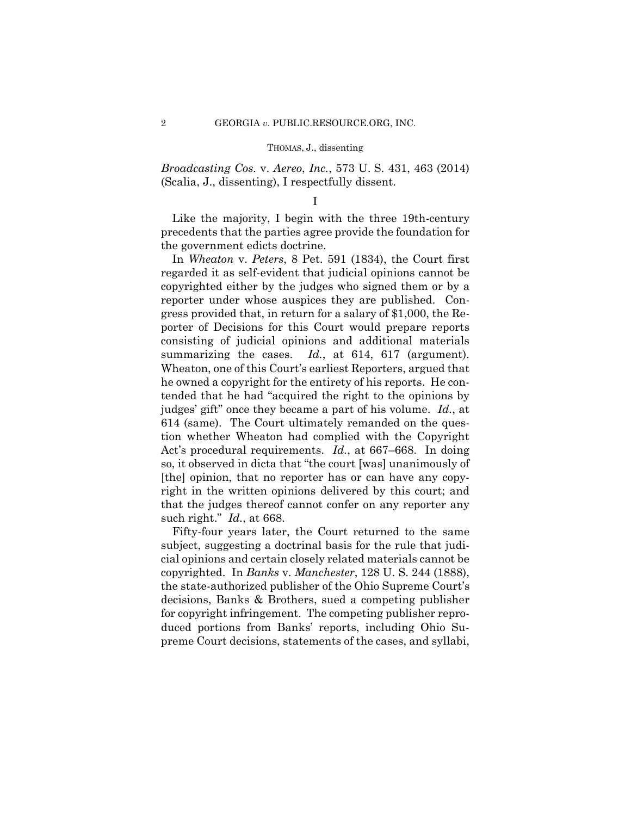*Broadcasting Cos.* v. *Aereo*, *Inc.*, 573 U. S. 431, 463 (2014) (Scalia, J., dissenting), I respectfully dissent.

### I

Like the majority, I begin with the three 19th-century precedents that the parties agree provide the foundation for the government edicts doctrine.

summarizing the cases. *Id.*, at 614, 617 (argument). such right." *Id.*, at 668. In *Wheaton* v. *Peters*, 8 Pet. 591 (1834), the Court first regarded it as self-evident that judicial opinions cannot be copyrighted either by the judges who signed them or by a reporter under whose auspices they are published. Congress provided that, in return for a salary of \$1,000, the Reporter of Decisions for this Court would prepare reports consisting of judicial opinions and additional materials Wheaton, one of this Court's earliest Reporters, argued that he owned a copyright for the entirety of his reports. He contended that he had "acquired the right to the opinions by judges' gift" once they became a part of his volume. *Id.*, at 614 (same). The Court ultimately remanded on the question whether Wheaton had complied with the Copyright Act's procedural requirements. *Id.*, at 667–668. In doing so, it observed in dicta that "the court [was] unanimously of [the] opinion, that no reporter has or can have any copyright in the written opinions delivered by this court; and that the judges thereof cannot confer on any reporter any

Fifty-four years later, the Court returned to the same subject, suggesting a doctrinal basis for the rule that judicial opinions and certain closely related materials cannot be copyrighted. In *Banks* v. *Manchester*, 128 U. S. 244 (1888), the state-authorized publisher of the Ohio Supreme Court's decisions, Banks & Brothers, sued a competing publisher for copyright infringement. The competing publisher reproduced portions from Banks' reports, including Ohio Supreme Court decisions, statements of the cases, and syllabi,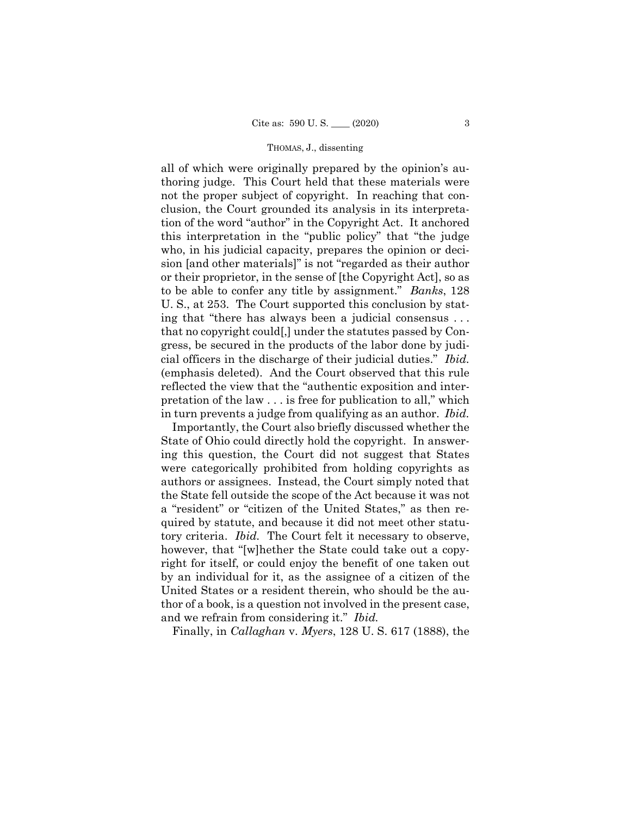ing that "there has always been a judicial consensus . . . all of which were originally prepared by the opinion's authoring judge. This Court held that these materials were not the proper subject of copyright. In reaching that conclusion, the Court grounded its analysis in its interpretation of the word "author" in the Copyright Act. It anchored this interpretation in the "public policy" that "the judge who, in his judicial capacity, prepares the opinion or decision [and other materials]" is not "regarded as their author or their proprietor, in the sense of [the Copyright Act], so as to be able to confer any title by assignment." *Banks*, 128 U. S., at 253. The Court supported this conclusion by statthat no copyright could[,] under the statutes passed by Congress, be secured in the products of the labor done by judicial officers in the discharge of their judicial duties." *Ibid.*  (emphasis deleted). And the Court observed that this rule reflected the view that the "authentic exposition and interpretation of the law . . . is free for publication to all," which in turn prevents a judge from qualifying as an author. *Ibid.* 

Importantly, the Court also briefly discussed whether the State of Ohio could directly hold the copyright. In answering this question, the Court did not suggest that States were categorically prohibited from holding copyrights as authors or assignees. Instead, the Court simply noted that the State fell outside the scope of the Act because it was not a "resident" or "citizen of the United States," as then required by statute, and because it did not meet other statutory criteria. *Ibid.* The Court felt it necessary to observe, however, that "[w]hether the State could take out a copyright for itself, or could enjoy the benefit of one taken out by an individual for it, as the assignee of a citizen of the United States or a resident therein, who should be the author of a book, is a question not involved in the present case, and we refrain from considering it." *Ibid.*

Finally, in *Callaghan* v. *Myers*, 128 U. S. 617 (1888), the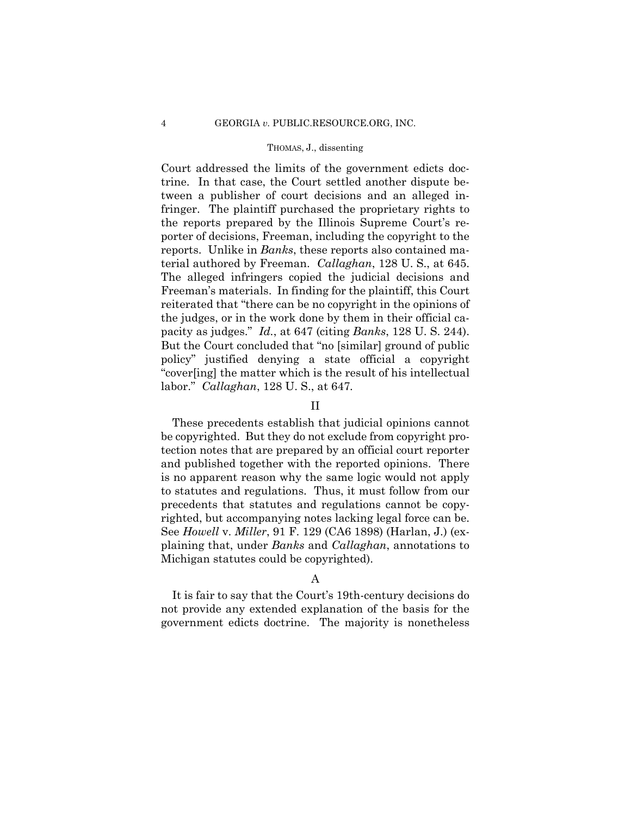pacity as judges." *Id.*, at 647 (citing *Banks*, 128 U. S. 244). Court addressed the limits of the government edicts doctrine. In that case, the Court settled another dispute between a publisher of court decisions and an alleged infringer. The plaintiff purchased the proprietary rights to the reports prepared by the Illinois Supreme Court's reporter of decisions, Freeman, including the copyright to the reports. Unlike in *Banks*, these reports also contained material authored by Freeman. *Callaghan*, 128 U. S., at 645. The alleged infringers copied the judicial decisions and Freeman's materials. In finding for the plaintiff, this Court reiterated that "there can be no copyright in the opinions of the judges, or in the work done by them in their official ca-But the Court concluded that "no [similar] ground of public policy" justified denying a state official a copyright "cover[ing] the matter which is the result of his intellectual labor." *Callaghan*, 128 U. S., at 647*.* 

## II

These precedents establish that judicial opinions cannot be copyrighted. But they do not exclude from copyright protection notes that are prepared by an official court reporter and published together with the reported opinions. There is no apparent reason why the same logic would not apply to statutes and regulations. Thus, it must follow from our precedents that statutes and regulations cannot be copyrighted, but accompanying notes lacking legal force can be. See *Howell* v. *Miller*, 91 F. 129 (CA6 1898) (Harlan, J.) (explaining that, under *Banks* and *Callaghan*, annotations to Michigan statutes could be copyrighted).

## A

It is fair to say that the Court's 19th-century decisions do not provide any extended explanation of the basis for the government edicts doctrine. The majority is nonetheless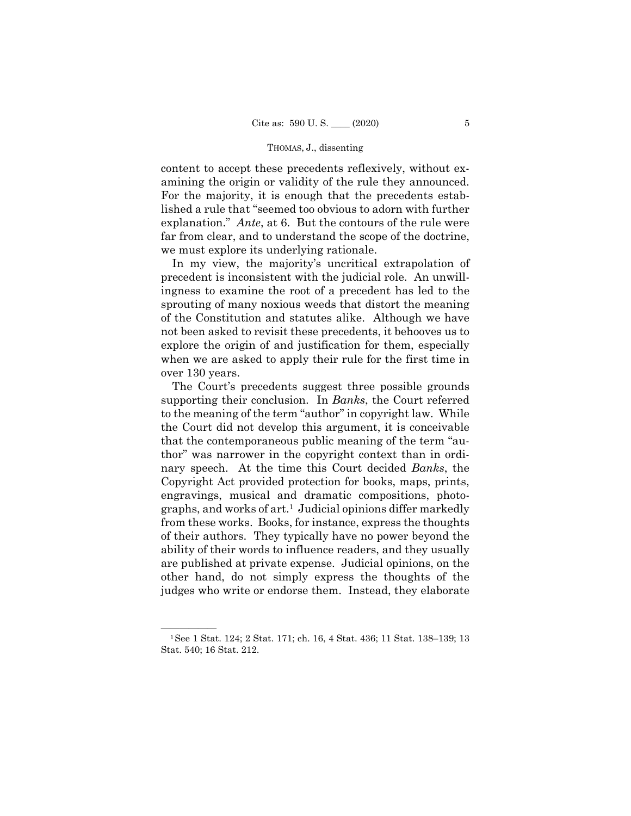content to accept these precedents reflexively, without examining the origin or validity of the rule they announced. For the majority, it is enough that the precedents established a rule that "seemed too obvious to adorn with further explanation." *Ante*, at 6. But the contours of the rule were far from clear, and to understand the scope of the doctrine, we must explore its underlying rationale.

In my view, the majority's uncritical extrapolation of precedent is inconsistent with the judicial role. An unwillingness to examine the root of a precedent has led to the sprouting of many noxious weeds that distort the meaning of the Constitution and statutes alike. Although we have not been asked to revisit these precedents, it behooves us to explore the origin of and justification for them, especially when we are asked to apply their rule for the first time in over 130 years.

The Court's precedents suggest three possible grounds supporting their conclusion. In *Banks*, the Court referred to the meaning of the term "author" in copyright law. While the Court did not develop this argument, it is conceivable that the contemporaneous public meaning of the term "author" was narrower in the copyright context than in ordinary speech. At the time this Court decided *Banks*, the Copyright Act provided protection for books, maps, prints, engravings, musical and dramatic compositions, photographs, and works of art.1 Judicial opinions differ markedly from these works. Books, for instance, express the thoughts of their authors. They typically have no power beyond the ability of their words to influence readers, and they usually are published at private expense. Judicial opinions, on the other hand, do not simply express the thoughts of the judges who write or endorse them. Instead, they elaborate

<sup>&</sup>lt;sup>1</sup>See 1 Stat. 124; 2 Stat. 171; ch. 16, 4 Stat. 436; 11 Stat. 138–139; 13 Stat. 540; 16 Stat. 212.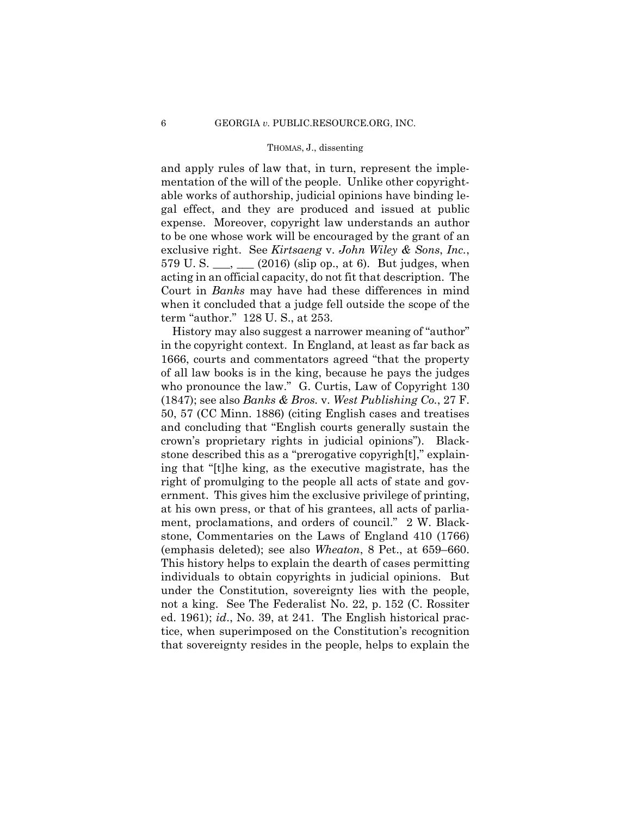and apply rules of law that, in turn, represent the implementation of the will of the people. Unlike other copyrightable works of authorship, judicial opinions have binding legal effect, and they are produced and issued at public expense. Moreover, copyright law understands an author to be one whose work will be encouraged by the grant of an exclusive right. See *Kirtsaeng* v. *John Wiley & Sons*, *Inc.*, 579 U. S.  $\_\_\_\_\_\_\_\_\_$  (2016) (slip op., at 6). But judges, when acting in an official capacity, do not fit that description. The Court in *Banks* may have had these differences in mind when it concluded that a judge fell outside the scope of the term "author." 128 U. S., at 253.

History may also suggest a narrower meaning of "author" in the copyright context. In England, at least as far back as 1666, courts and commentators agreed "that the property of all law books is in the king, because he pays the judges who pronounce the law." G. Curtis, Law of Copyright 130 (1847); see also *Banks & Bros.* v. *West Publishing Co.*, 27 F. 50, 57 (CC Minn. 1886) (citing English cases and treatises and concluding that "English courts generally sustain the crown's proprietary rights in judicial opinions"). Blackstone described this as a "prerogative copyrigh[t]," explaining that "[t]he king, as the executive magistrate, has the right of promulging to the people all acts of state and government. This gives him the exclusive privilege of printing, at his own press, or that of his grantees, all acts of parliament, proclamations, and orders of council." 2 W. Blackstone, Commentaries on the Laws of England 410 (1766) (emphasis deleted); see also *Wheaton*, 8 Pet., at 659–660. This history helps to explain the dearth of cases permitting individuals to obtain copyrights in judicial opinions. But under the Constitution, sovereignty lies with the people, not a king. See The Federalist No. 22, p. 152 (C. Rossiter ed. 1961); *id*., No. 39, at 241. The English historical practice, when superimposed on the Constitution's recognition that sovereignty resides in the people, helps to explain the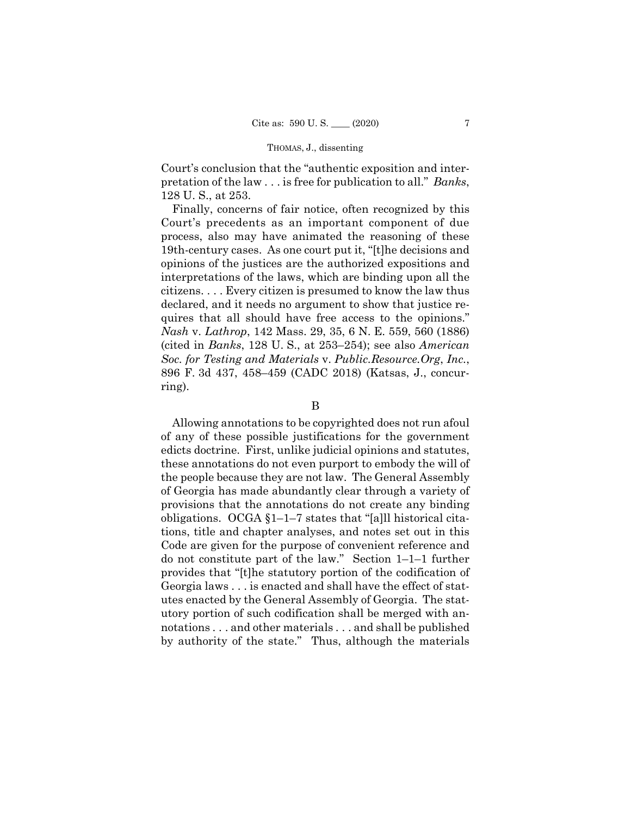Court's conclusion that the "authentic exposition and interpretation of the law . . . is free for publication to all." *Banks*, 128 U. S., at 253.

Finally, concerns of fair notice, often recognized by this Court's precedents as an important component of due process, also may have animated the reasoning of these 19th-century cases. As one court put it, "[t]he decisions and opinions of the justices are the authorized expositions and interpretations of the laws, which are binding upon all the citizens. . . . Every citizen is presumed to know the law thus declared, and it needs no argument to show that justice requires that all should have free access to the opinions." *Nash* v. *Lathrop*, 142 Mass. 29, 35, 6 N. E. 559, 560 (1886) (cited in *Banks*, 128 U. S., at 253–254); see also *American Soc. for Testing and Materials* v. *Public.Resource.Org*, *Inc.*, 896 F. 3d 437, 458–459 (CADC 2018) (Katsas, J., concurring).

#### B

Allowing annotations to be copyrighted does not run afoul of any of these possible justifications for the government edicts doctrine. First, unlike judicial opinions and statutes, these annotations do not even purport to embody the will of the people because they are not law. The General Assembly of Georgia has made abundantly clear through a variety of provisions that the annotations do not create any binding obligations. OCGA §1–1–7 states that "[a]ll historical citations, title and chapter analyses, and notes set out in this Code are given for the purpose of convenient reference and do not constitute part of the law." Section 1–1–1 further provides that "[t]he statutory portion of the codification of Georgia laws . . . is enacted and shall have the effect of statutes enacted by the General Assembly of Georgia. The statutory portion of such codification shall be merged with annotations . . . and other materials . . . and shall be published by authority of the state." Thus, although the materials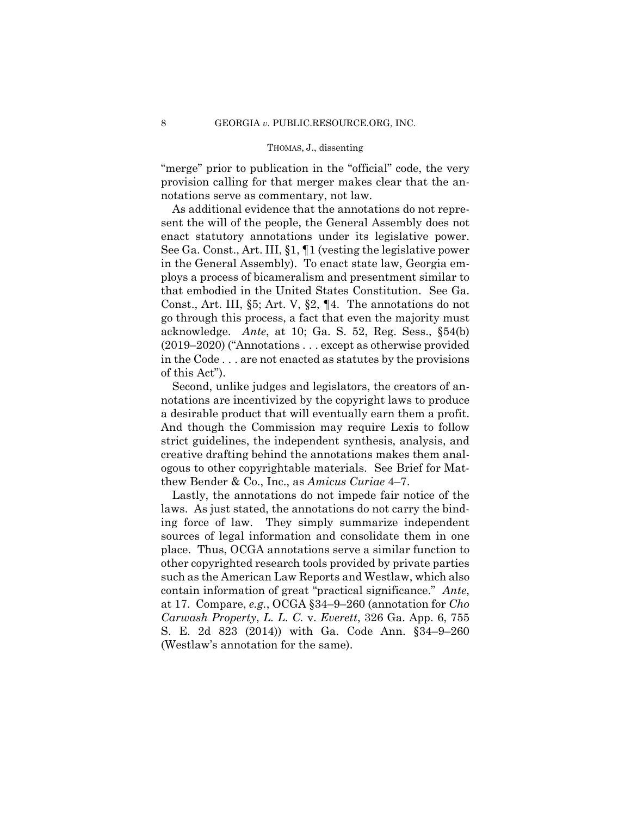"merge" prior to publication in the "official" code, the very provision calling for that merger makes clear that the annotations serve as commentary, not law.

As additional evidence that the annotations do not represent the will of the people, the General Assembly does not enact statutory annotations under its legislative power. See Ga. Const., Art. III, §1, ¶1 (vesting the legislative power in the General Assembly). To enact state law, Georgia employs a process of bicameralism and presentment similar to that embodied in the United States Constitution. See Ga. Const., Art. III, §5; Art. V, §2, ¶4. The annotations do not go through this process, a fact that even the majority must acknowledge. *Ante*, at 10; Ga. S. 52, Reg. Sess., §54(b) (2019–2020) ("Annotations . . . except as otherwise provided in the Code . . . are not enacted as statutes by the provisions of this Act").

Second, unlike judges and legislators, the creators of annotations are incentivized by the copyright laws to produce a desirable product that will eventually earn them a profit. And though the Commission may require Lexis to follow strict guidelines, the independent synthesis, analysis, and creative drafting behind the annotations makes them analogous to other copyrightable materials. See Brief for Matthew Bender & Co., Inc., as *Amicus Curiae* 4–7.

Lastly, the annotations do not impede fair notice of the laws. As just stated, the annotations do not carry the binding force of law. They simply summarize independent sources of legal information and consolidate them in one place. Thus, OCGA annotations serve a similar function to other copyrighted research tools provided by private parties such as the American Law Reports and Westlaw, which also contain information of great "practical significance." *Ante*, at 17. Compare, *e.g.*, OCGA §34–9–260 (annotation for *Cho Carwash Property*, *L. L. C.* v. *Everett*, 326 Ga. App. 6, 755 S. E. 2d 823 (2014)) with Ga. Code Ann. §34–9–260 (Westlaw's annotation for the same).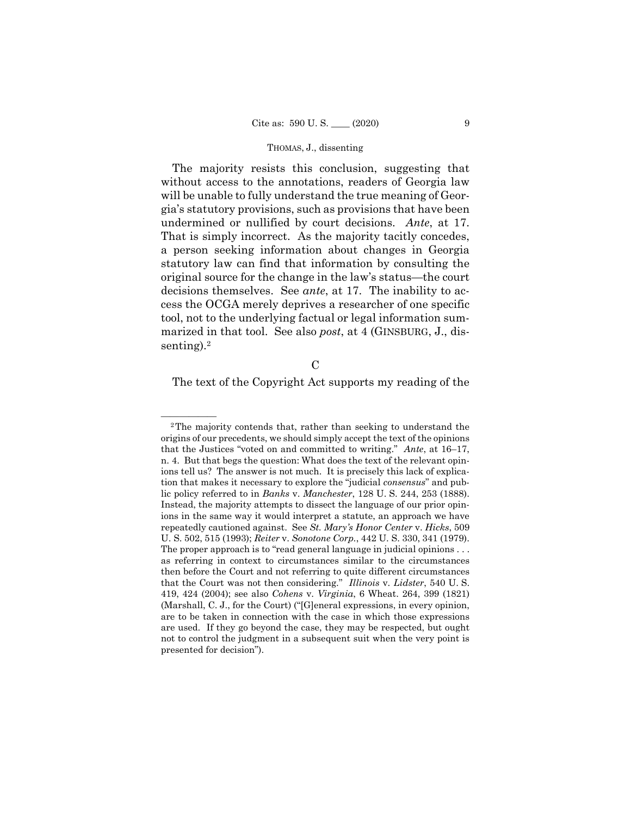undermined or nullified by court decisions. *Ante*, at 17. The majority resists this conclusion, suggesting that without access to the annotations, readers of Georgia law will be unable to fully understand the true meaning of Georgia's statutory provisions, such as provisions that have been That is simply incorrect. As the majority tacitly concedes, a person seeking information about changes in Georgia statutory law can find that information by consulting the original source for the change in the law's status—the court decisions themselves. See *ante*, at 17. The inability to access the OCGA merely deprives a researcher of one specific tool, not to the underlying factual or legal information summarized in that tool. See also *post*, at 4 (GINSBURG, J., dissenting).2

 $\mathcal{C}$ 

The text of the Copyright Act supports my reading of the

 that the Justices "voted on and committed to writing." *Ante*, at 16–17, U. S. 502, 515 (1993); *Reiter* v. *Sonotone Corp.*, 442 U. S. 330, 341 (1979).  $2$ The majority contends that, rather than seeking to understand the origins of our precedents, we should simply accept the text of the opinions n. 4. But that begs the question: What does the text of the relevant opinions tell us? The answer is not much. It is precisely this lack of explication that makes it necessary to explore the "judicial *consensus*" and public policy referred to in *Banks* v. *Manchester*, 128 U. S. 244, 253 (1888). Instead, the majority attempts to dissect the language of our prior opinions in the same way it would interpret a statute, an approach we have repeatedly cautioned against. See *St. Mary's Honor Center* v. *Hicks*, 509 The proper approach is to "read general language in judicial opinions . . . as referring in context to circumstances similar to the circumstances then before the Court and not referring to quite different circumstances that the Court was not then considering." *Illinois* v. *Lidster*, 540 U. S. 419, 424 (2004); see also *Cohens* v. *Virginia*, 6 Wheat. 264, 399 (1821) (Marshall, C. J., for the Court) ("[G]eneral expressions, in every opinion, are to be taken in connection with the case in which those expressions are used. If they go beyond the case, they may be respected, but ought not to control the judgment in a subsequent suit when the very point is presented for decision").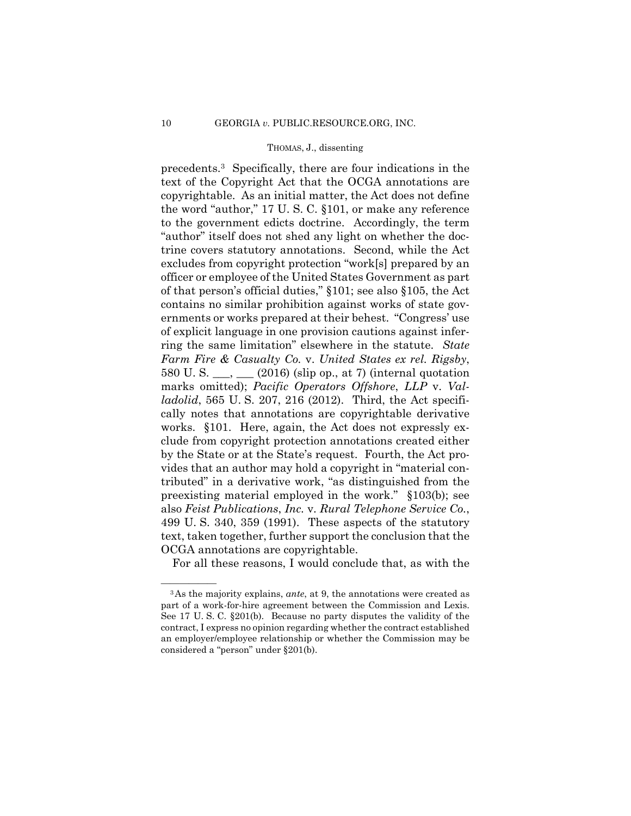precedents.3 Specifically, there are four indications in the text of the Copyright Act that the OCGA annotations are copyrightable. As an initial matter, the Act does not define the word "author," 17 U. S. C. §101, or make any reference to the government edicts doctrine. Accordingly, the term "author" itself does not shed any light on whether the doctrine covers statutory annotations. Second, while the Act excludes from copyright protection "work[s] prepared by an officer or employee of the United States Government as part of that person's official duties," §101; see also §105, the Act contains no similar prohibition against works of state governments or works prepared at their behest. "Congress' use of explicit language in one provision cautions against inferring the same limitation" elsewhere in the statute. *State Farm Fire & Casualty Co.* v. *United States ex rel. Rigsby*, 580 U.S.  $\frac{1}{2}$  (2016) (slip op., at 7) (internal quotation marks omitted); *Pacific Operators Offshore*, *LLP* v. *Valladolid*, 565 U. S. 207, 216 (2012). Third, the Act specifically notes that annotations are copyrightable derivative works. §101. Here, again, the Act does not expressly exclude from copyright protection annotations created either by the State or at the State's request. Fourth, the Act provides that an author may hold a copyright in "material contributed" in a derivative work, "as distinguished from the preexisting material employed in the work." §103(b); see also *Feist Publications*, *Inc.* v. *Rural Telephone Service Co.*, 499 U. S. 340, 359 (1991). These aspects of the statutory text, taken together, further support the conclusion that the OCGA annotations are copyrightable.

For all these reasons, I would conclude that, as with the

<sup>&</sup>lt;sup>3</sup>As the majority explains, *ante*, at 9, the annotations were created as part of a work-for-hire agreement between the Commission and Lexis. See 17 U. S. C. §201(b). Because no party disputes the validity of the contract, I express no opinion regarding whether the contract established an employer/employee relationship or whether the Commission may be considered a "person" under §201(b).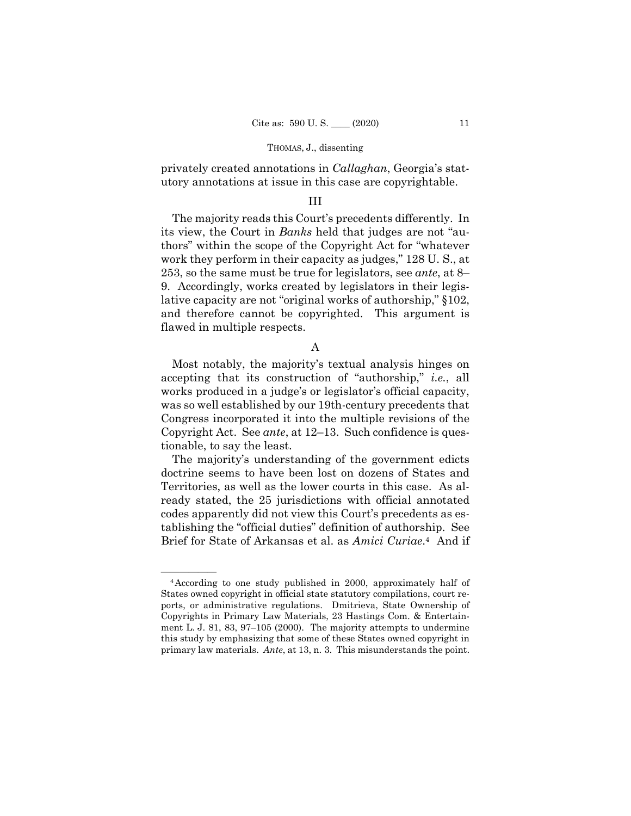privately created annotations in *Callaghan*, Georgia's statutory annotations at issue in this case are copyrightable.

## III

The majority reads this Court's precedents differently. In its view, the Court in *Banks* held that judges are not "authors" within the scope of the Copyright Act for "whatever work they perform in their capacity as judges," 128 U. S., at 253, so the same must be true for legislators, see *ante*, at 8– 9. Accordingly, works created by legislators in their legislative capacity are not "original works of authorship," §102, and therefore cannot be copyrighted. This argument is flawed in multiple respects.

A

Most notably, the majority's textual analysis hinges on accepting that its construction of "authorship," *i.e.*, all works produced in a judge's or legislator's official capacity, was so well established by our 19th-century precedents that Congress incorporated it into the multiple revisions of the Copyright Act. See *ante*, at 12–13. Such confidence is questionable, to say the least.

The majority's understanding of the government edicts doctrine seems to have been lost on dozens of States and Territories, as well as the lower courts in this case. As already stated, the 25 jurisdictions with official annotated codes apparently did not view this Court's precedents as establishing the "official duties" definition of authorship. See Brief for State of Arkansas et al. as *Amici Curiae*.4 And if

<sup>&</sup>lt;sup>4</sup> According to one study published in 2000, approximately half of States owned copyright in official state statutory compilations, court reports, or administrative regulations. Dmitrieva, State Ownership of Copyrights in Primary Law Materials, 23 Hastings Com. & Entertainment L. J. 81, 83, 97–105 (2000). The majority attempts to undermine this study by emphasizing that some of these States owned copyright in primary law materials. *Ante*, at 13, n. 3. This misunderstands the point.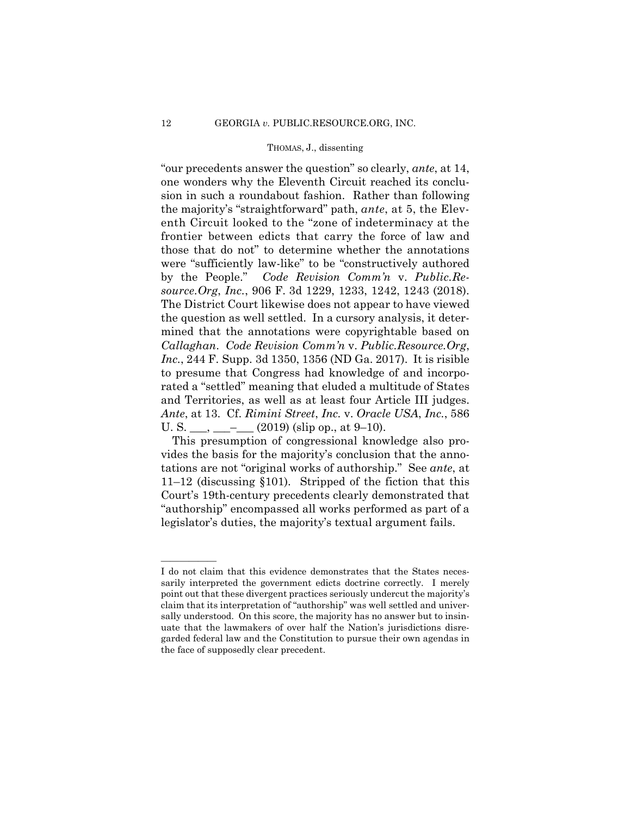enth Circuit looked to the "zone of indeterminacy at the frontier between edicts that carry the force of law and "our precedents answer the question" so clearly, *ante*, at 14, one wonders why the Eleventh Circuit reached its conclusion in such a roundabout fashion. Rather than following the majority's "straightforward" path, *ante*, at 5, the Elevthose that do not" to determine whether the annotations were "sufficiently law-like" to be "constructively authored by the People." *Code Revision Comm'n* v. *Public.Resource.Org*, *Inc.*, 906 F. 3d 1229, 1233, 1242, 1243 (2018). The District Court likewise does not appear to have viewed the question as well settled. In a cursory analysis, it determined that the annotations were copyrightable based on *Callaghan*. *Code Revision Comm'n* v. *Public.Resource.Org*, *Inc.*, 244 F. Supp. 3d 1350, 1356 (ND Ga. 2017). It is risible to presume that Congress had knowledge of and incorporated a "settled" meaning that eluded a multitude of States and Territories, as well as at least four Article III judges. *Ante*, at 13. Cf. *Rimini Street*, *Inc.* v. *Oracle USA*, *Inc.*, 586 U. S.  $\frac{1}{\sqrt{2}}$  =  $\frac{1}{\sqrt{2}}$  (2019) (slip op., at 9–10).

This presumption of congressional knowledge also provides the basis for the majority's conclusion that the annotations are not "original works of authorship." See *ante*, at 11–12 (discussing §101). Stripped of the fiction that this Court's 19th-century precedents clearly demonstrated that "authorship" encompassed all works performed as part of a legislator's duties, the majority's textual argument fails.

——————

I do not claim that this evidence demonstrates that the States necessarily interpreted the government edicts doctrine correctly. I merely point out that these divergent practices seriously undercut the majority's claim that its interpretation of "authorship" was well settled and universally understood. On this score, the majority has no answer but to insinuate that the lawmakers of over half the Nation's jurisdictions disregarded federal law and the Constitution to pursue their own agendas in the face of supposedly clear precedent.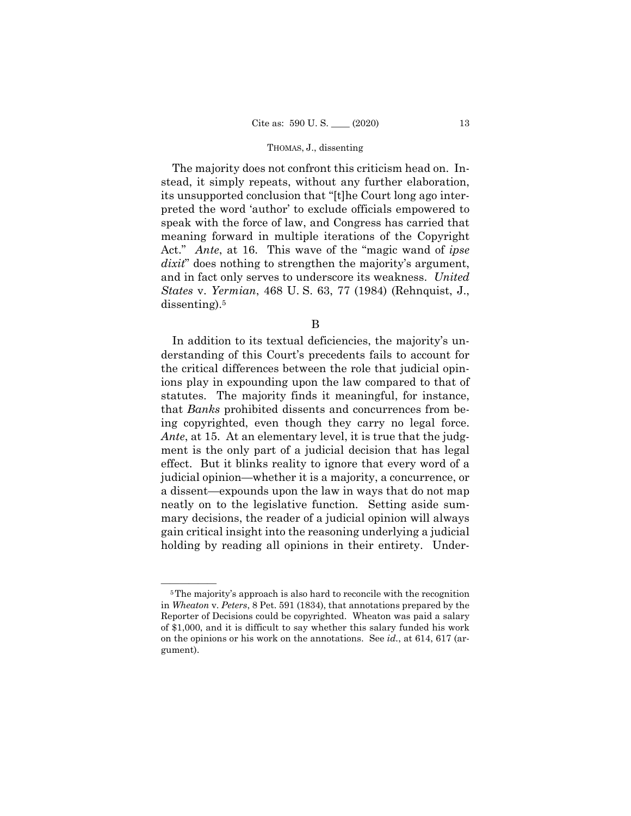The majority does not confront this criticism head on. Instead, it simply repeats, without any further elaboration, its unsupported conclusion that "[t]he Court long ago interpreted the word 'author' to exclude officials empowered to speak with the force of law, and Congress has carried that meaning forward in multiple iterations of the Copyright Act." *Ante*, at 16. This wave of the "magic wand of *ipse dixit*" does nothing to strengthen the majority's argument, and in fact only serves to underscore its weakness. *United States* v. *Yermian*, 468 U. S. 63, 77 (1984) (Rehnquist, J., dissenting).<sup>5</sup>

B

In addition to its textual deficiencies, the majority's understanding of this Court's precedents fails to account for the critical differences between the role that judicial opinions play in expounding upon the law compared to that of statutes. The majority finds it meaningful, for instance, that *Banks* prohibited dissents and concurrences from being copyrighted, even though they carry no legal force. *Ante*, at 15. At an elementary level, it is true that the judgment is the only part of a judicial decision that has legal effect. But it blinks reality to ignore that every word of a judicial opinion—whether it is a majority, a concurrence, or a dissent—expounds upon the law in ways that do not map neatly on to the legislative function. Setting aside summary decisions, the reader of a judicial opinion will always gain critical insight into the reasoning underlying a judicial holding by reading all opinions in their entirety. Under-

<sup>&</sup>lt;sup>5</sup>The majority's approach is also hard to reconcile with the recognition in *Wheaton* v. *Peters*, 8 Pet. 591 (1834), that annotations prepared by the Reporter of Decisions could be copyrighted. Wheaton was paid a salary of \$1,000, and it is difficult to say whether this salary funded his work on the opinions or his work on the annotations. See *id.*, at 614, 617 (argument).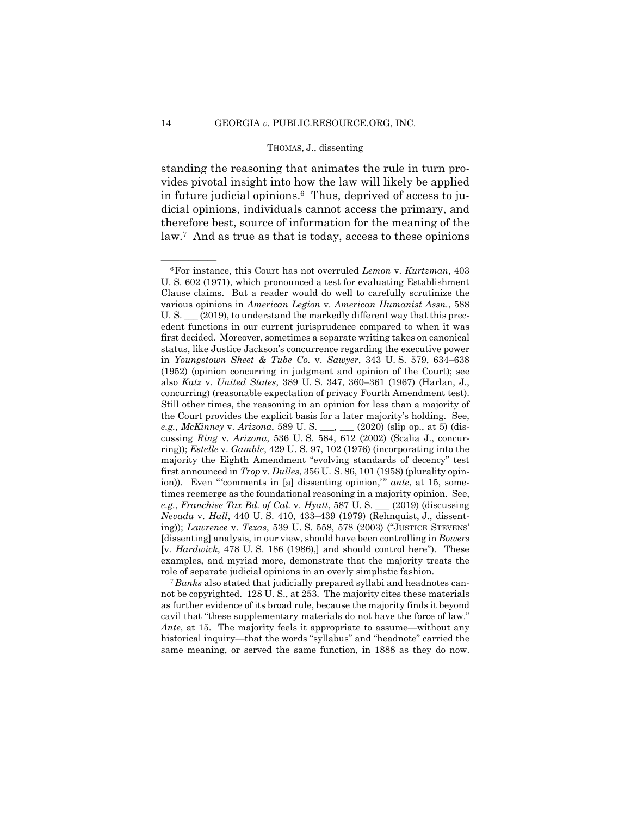standing the reasoning that animates the rule in turn provides pivotal insight into how the law will likely be applied in future judicial opinions.6 Thus, deprived of access to judicial opinions, individuals cannot access the primary, and therefore best, source of information for the meaning of the law.7 And as true as that is today, access to these opinions

not be copyrighted. 128 U. S., at 253. The majority cites these materials as further evidence of its broad rule, because the majority finds it beyond cavil that "these supplementary materials do not have the force of law." *Ante*, at 15. The majority feels it appropriate to assume—without any historical inquiry—that the words "syllabus" and "headnote" carried the same meaning, or served the same function, in 1888 as they do now.

<sup>—————— 6</sup>For instance, this Court has not overruled *Lemon* v. *Kurtzman*, 403 U. S. 602 (1971), which pronounced a test for evaluating Establishment Clause claims. But a reader would do well to carefully scrutinize the various opinions in *American Legion* v. *American Humanist Assn.*, 588 U. S.  $(2019)$ , to understand the markedly different way that this precedent functions in our current jurisprudence compared to when it was first decided. Moreover, sometimes a separate writing takes on canonical status, like Justice Jackson's concurrence regarding the executive power in *Youngstown Sheet & Tube Co.* v. *Sawyer*, 343 U. S. 579, 634–638 (1952) (opinion concurring in judgment and opinion of the Court); see also *Katz* v. *United States*, 389 U. S. 347, 360–361 (1967) (Harlan, J., concurring) (reasonable expectation of privacy Fourth Amendment test). Still other times, the reasoning in an opinion for less than a majority of the Court provides the explicit basis for a later majority's holding. See, *e.g.*, *McKinney* v. *Arizona*, 589 U. S. \_\_\_, \_\_\_ (2020) (slip op., at 5) (discussing *Ring* v. *Arizona*, 536 U. S. 584, 612 (2002) (Scalia J., concurring)); *Estelle* v. *Gamble*, 429 U. S. 97, 102 (1976) (incorporating into the majority the Eighth Amendment "evolving standards of decency" test first announced in *Trop* v. *Dulles*, 356 U. S. 86, 101 (1958) (plurality opinion)). Even " 'comments in [a] dissenting opinion," ante, at 15, sometimes reemerge as the foundational reasoning in a majority opinion. See, *e.g.*, *Franchise Tax Bd. of Cal.* v. *Hyatt*, 587 U. S. \_\_\_ (2019) (discussing *Nevada* v. *Hall*, 440 U. S. 410, 433–439 (1979) (Rehnquist, J., dissenting)); *Lawrence* v. *Texas*, 539 U. S. 558, 578 (2003) ("JUSTICE STEVENS' [dissenting] analysis, in our view, should have been controlling in *Bowers*  [v. *Hardwick*, 478 U. S. 186 (1986),] and should control here"). These examples, and myriad more, demonstrate that the majority treats the role of separate judicial opinions in an overly simplistic fashion. 7 *Banks* also stated that judicially prepared syllabi and headnotes can-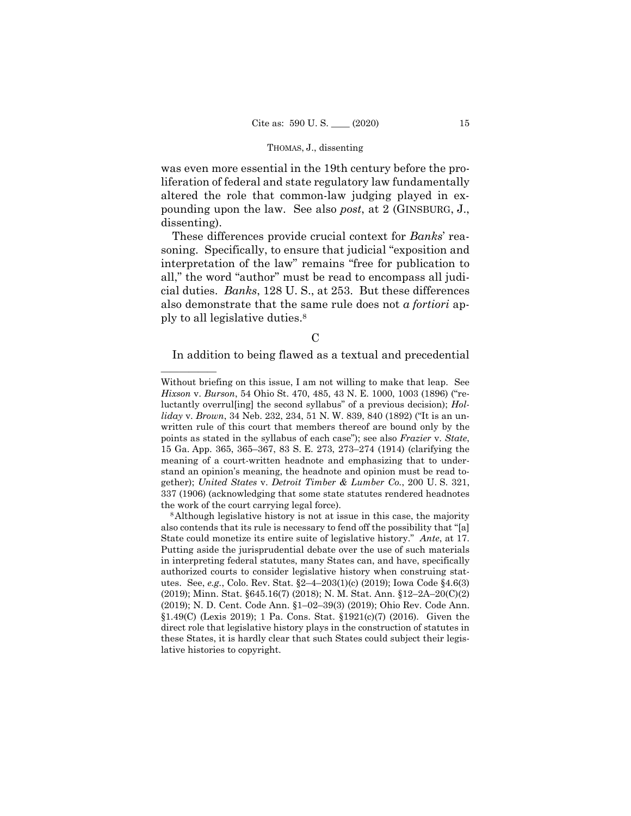was even more essential in the 19th century before the proliferation of federal and state regulatory law fundamentally altered the role that common-law judging played in expounding upon the law. See also *post*, at 2 (GINSBURG, J., dissenting).

These differences provide crucial context for *Banks*' reasoning. Specifically, to ensure that judicial "exposition and interpretation of the law" remains "free for publication to all," the word "author" must be read to encompass all judicial duties. *Banks*, 128 U. S., at 253. But these differences also demonstrate that the same rule does not *a fortiori* apply to all legislative duties.8

 $\mathcal{C}$ 

——————

In addition to being flawed as a textual and precedential

Without briefing on this issue, I am not willing to make that leap. See *Hixson* v. *Burson*, 54 Ohio St. 470, 485, 43 N. E. 1000, 1003 (1896) ("reluctantly overrul[ing] the second syllabus" of a previous decision); *Holliday* v. *Brown*, 34 Neb. 232, 234, 51 N. W. 839, 840 (1892) ("It is an unwritten rule of this court that members thereof are bound only by the points as stated in the syllabus of each case"); see also *Frazier* v. *State*, 15 Ga. App. 365, 365–367, 83 S. E. 273, 273–274 (1914) (clarifying the meaning of a court-written headnote and emphasizing that to understand an opinion's meaning, the headnote and opinion must be read together); *United States* v. *Detroit Timber & Lumber Co.*, 200 U. S. 321, 337 (1906) (acknowledging that some state statutes rendered headnotes the work of the court carrying legal force).

 (2019); Minn. Stat. §645.16(7) (2018); N. M. Stat. Ann. §12–2A–20(C)(2) 8Although legislative history is not at issue in this case, the majority also contends that its rule is necessary to fend off the possibility that "[a] State could monetize its entire suite of legislative history." *Ante*, at 17. Putting aside the jurisprudential debate over the use of such materials in interpreting federal statutes, many States can, and have, specifically authorized courts to consider legislative history when construing statutes. See, *e.g.*, Colo. Rev. Stat. §2–4–203(1)(c) (2019); Iowa Code §4.6(3) (2019); N. D. Cent. Code Ann. §1–02–39(3) (2019); Ohio Rev. Code Ann. §1.49(C) (Lexis 2019); 1 Pa. Cons. Stat. §1921(c)(7) (2016). Given the direct role that legislative history plays in the construction of statutes in these States, it is hardly clear that such States could subject their legislative histories to copyright.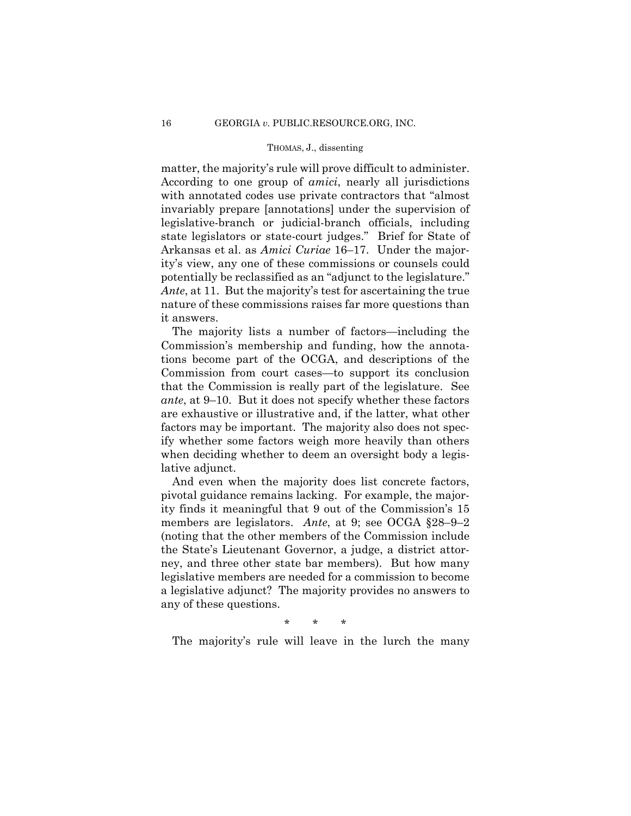matter, the majority's rule will prove difficult to administer. According to one group of *amici*, nearly all jurisdictions with annotated codes use private contractors that "almost invariably prepare [annotations] under the supervision of legislative-branch or judicial-branch officials, including state legislators or state-court judges." Brief for State of Arkansas et al. as *Amici Curiae* 16–17. Under the majority's view, any one of these commissions or counsels could potentially be reclassified as an "adjunct to the legislature." *Ante*, at 11. But the majority's test for ascertaining the true nature of these commissions raises far more questions than it answers.

The majority lists a number of factors—including the Commission's membership and funding, how the annotations become part of the OCGA, and descriptions of the Commission from court cases—to support its conclusion that the Commission is really part of the legislature. See *ante*, at 9–10. But it does not specify whether these factors are exhaustive or illustrative and, if the latter, what other factors may be important. The majority also does not specify whether some factors weigh more heavily than others when deciding whether to deem an oversight body a legislative adjunct.

And even when the majority does list concrete factors, pivotal guidance remains lacking. For example, the majority finds it meaningful that 9 out of the Commission's 15 members are legislators. *Ante*, at 9; see OCGA §28–9–2 (noting that the other members of the Commission include the State's Lieutenant Governor, a judge, a district attorney, and three other state bar members). But how many legislative members are needed for a commission to become a legislative adjunct? The majority provides no answers to any of these questions.

\* \* \*

The majority's rule will leave in the lurch the many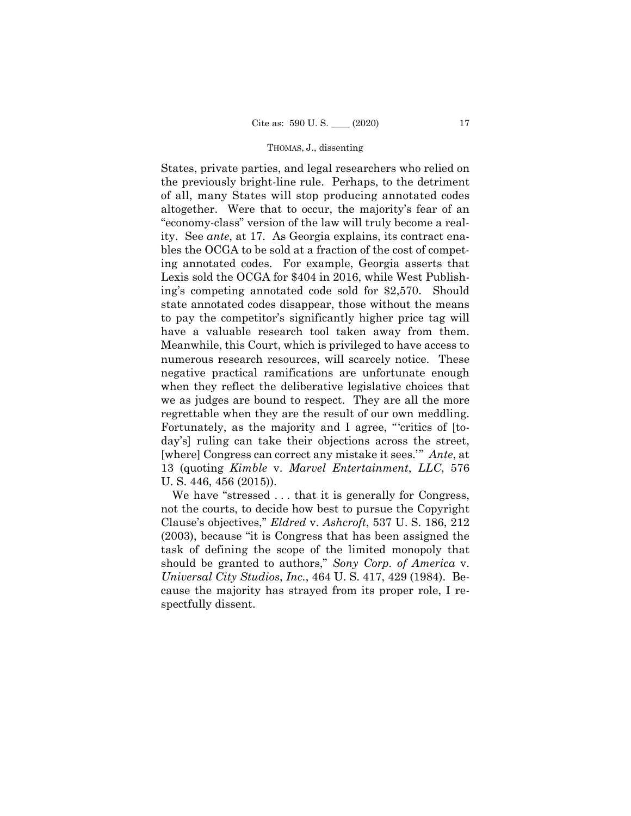of all, many States will stop producing annotated codes States, private parties, and legal researchers who relied on the previously bright-line rule. Perhaps, to the detriment altogether. Were that to occur, the majority's fear of an "economy-class" version of the law will truly become a reality. See *ante*, at 17. As Georgia explains, its contract enables the OCGA to be sold at a fraction of the cost of competing annotated codes. For example, Georgia asserts that Lexis sold the OCGA for \$404 in 2016, while West Publishing's competing annotated code sold for \$2,570. Should state annotated codes disappear, those without the means to pay the competitor's significantly higher price tag will have a valuable research tool taken away from them. Meanwhile, this Court, which is privileged to have access to numerous research resources, will scarcely notice. These negative practical ramifications are unfortunate enough when they reflect the deliberative legislative choices that we as judges are bound to respect. They are all the more regrettable when they are the result of our own meddling. Fortunately, as the majority and I agree, "critics of [today's] ruling can take their objections across the street, [where] Congress can correct any mistake it sees.'" *Ante*, at 13 (quoting *Kimble* v. *Marvel Entertainment*, *LLC*, 576 U. S. 446, 456 (2015)).

We have "stressed . . . that it is generally for Congress, not the courts, to decide how best to pursue the Copyright Clause's objectives," *Eldred* v. *Ashcroft*, 537 U. S. 186, 212 (2003), because "it is Congress that has been assigned the task of defining the scope of the limited monopoly that should be granted to authors," *Sony Corp. of America* v. *Universal City Studios*, *Inc.*, 464 U. S. 417, 429 (1984). Because the majority has strayed from its proper role, I respectfully dissent.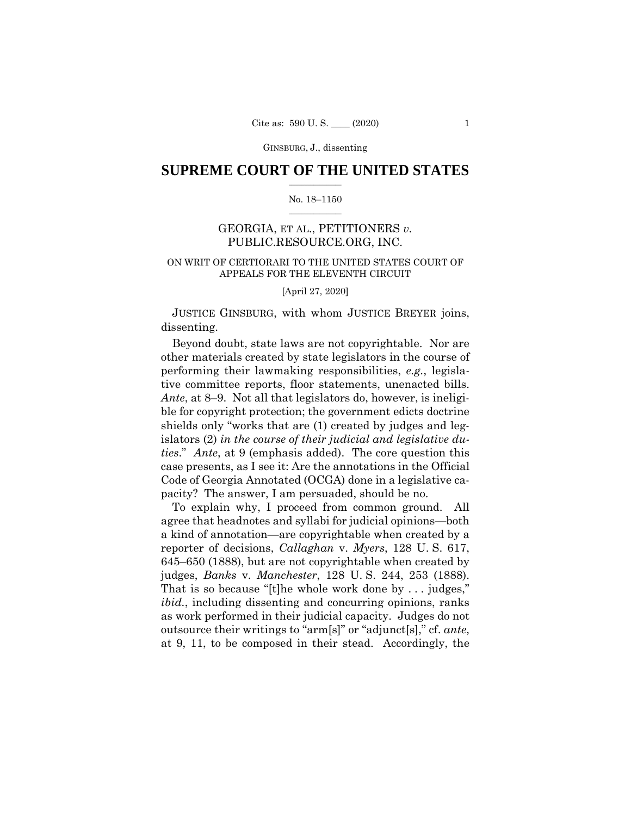## $\frac{1}{2}$  ,  $\frac{1}{2}$  ,  $\frac{1}{2}$  ,  $\frac{1}{2}$  ,  $\frac{1}{2}$  ,  $\frac{1}{2}$  ,  $\frac{1}{2}$ **SUPREME COURT OF THE UNITED STATES**

#### $\frac{1}{2}$  ,  $\frac{1}{2}$  ,  $\frac{1}{2}$  ,  $\frac{1}{2}$  ,  $\frac{1}{2}$  ,  $\frac{1}{2}$ No. 18–1150

## GEORGIA, ET AL., PETITIONERS *v.*  PUBLIC.RESOURCE.ORG, INC.

## ON WRIT OF CERTIORARI TO THE UNITED STATES COURT OF APPEALS FOR THE ELEVENTH CIRCUIT

[April 27, 2020]

JUSTICE GINSBURG, with whom JUSTICE BREYER joins, dissenting.

 *ties*." *Ante*, at 9 (emphasis added). The core question this Beyond doubt, state laws are not copyrightable. Nor are other materials created by state legislators in the course of performing their lawmaking responsibilities, *e.g.*, legislative committee reports, floor statements, unenacted bills. *Ante*, at 8–9. Not all that legislators do, however, is ineligible for copyright protection; the government edicts doctrine shields only "works that are (1) created by judges and legislators (2) *in the course of their judicial and legislative du*case presents, as I see it: Are the annotations in the Official Code of Georgia Annotated (OCGA) done in a legislative capacity? The answer, I am persuaded, should be no.

To explain why, I proceed from common ground. All agree that headnotes and syllabi for judicial opinions—both a kind of annotation—are copyrightable when created by a reporter of decisions, *Callaghan* v. *Myers*, 128 U. S. 617, 645–650 (1888), but are not copyrightable when created by judges, *Banks* v. *Manchester*, 128 U. S. 244, 253 (1888). That is so because "[t]he whole work done by . . . judges," *ibid.*, including dissenting and concurring opinions, ranks as work performed in their judicial capacity. Judges do not outsource their writings to "arm[s]" or "adjunct[s]," cf. *ante*, at 9, 11, to be composed in their stead. Accordingly, the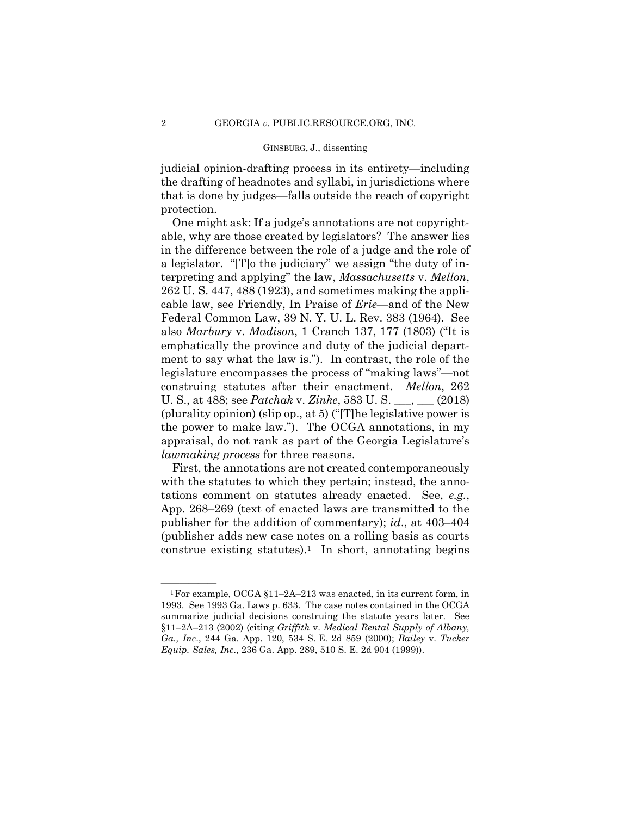judicial opinion-drafting process in its entirety—including the drafting of headnotes and syllabi, in jurisdictions where that is done by judges—falls outside the reach of copyright protection.

One might ask: If a judge's annotations are not copyrightable, why are those created by legislators? The answer lies in the difference between the role of a judge and the role of a legislator. "[T]o the judiciary" we assign "the duty of interpreting and applying" the law, *Massachusetts* v. *Mellon*, 262 U. S. 447, 488 (1923), and sometimes making the applicable law, see Friendly, In Praise of *Erie*—and of the New Federal Common Law, 39 N. Y. U. L. Rev. 383 (1964). See also *Marbury* v. *Madison*, 1 Cranch 137, 177 (1803) ("It is emphatically the province and duty of the judicial department to say what the law is."). In contrast, the role of the legislature encompasses the process of "making laws"—not construing statutes after their enactment. *Mellon*, 262 U. S., at 488; see *Patchak* v. *Zinke*, 583 U. S. \_\_\_, \_\_\_ (2018) (plurality opinion) (slip op., at 5) ("[T]he legislative power is the power to make law."). The OCGA annotations, in my appraisal, do not rank as part of the Georgia Legislature's *lawmaking process* for three reasons.

First, the annotations are not created contemporaneously with the statutes to which they pertain; instead, the annotations comment on statutes already enacted. See, *e.g.*, App. 268–269 (text of enacted laws are transmitted to the publisher for the addition of commentary); *id*., at 403–404 (publisher adds new case notes on a rolling basis as courts construe existing statutes).<sup>1</sup> In short, annotating begins

<sup>&</sup>lt;sup>1</sup> For example, OCGA  $$11-2A-213$  was enacted, in its current form, in 1993. See 1993 Ga. Laws p. 633. The case notes contained in the OCGA summarize judicial decisions construing the statute years later. See §11–2A–213 (2002) (citing *Griffith* v. *Medical Rental Supply of Albany, Ga., Inc*., 244 Ga. App. 120, 534 S. E. 2d 859 (2000); *Bailey* v. *Tucker Equip. Sales, Inc*., 236 Ga. App. 289, 510 S. E. 2d 904 (1999)).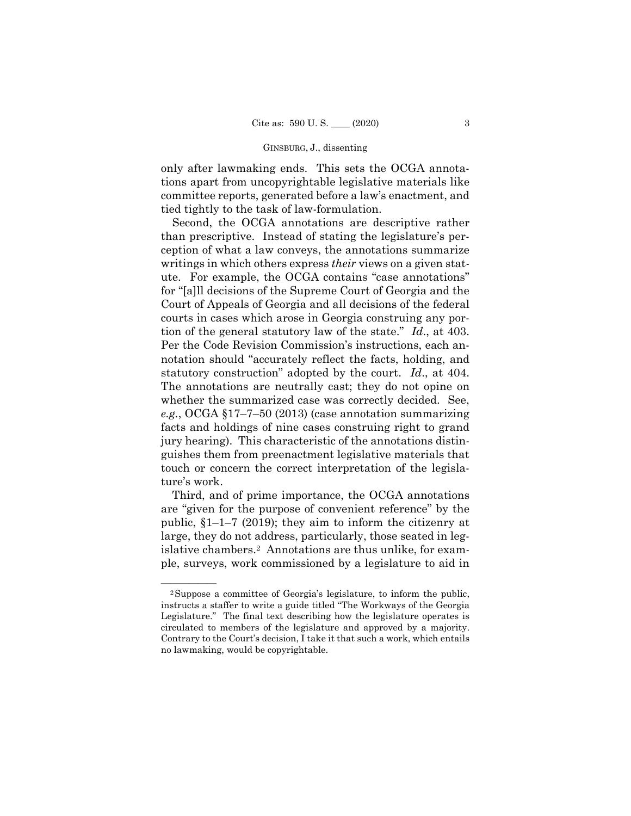only after lawmaking ends. This sets the OCGA annotations apart from uncopyrightable legislative materials like committee reports, generated before a law's enactment, and tied tightly to the task of law-formulation.

 statutory construction" adopted by the court. *Id*., at 404. Second, the OCGA annotations are descriptive rather than prescriptive. Instead of stating the legislature's perception of what a law conveys, the annotations summarize writings in which others express *their* views on a given statute. For example, the OCGA contains "case annotations" for "[a]ll decisions of the Supreme Court of Georgia and the Court of Appeals of Georgia and all decisions of the federal courts in cases which arose in Georgia construing any portion of the general statutory law of the state." *Id*., at 403. Per the Code Revision Commission's instructions, each annotation should "accurately reflect the facts, holding, and The annotations are neutrally cast; they do not opine on whether the summarized case was correctly decided. See, *e.g.*, OCGA §17–7–50 (2013) (case annotation summarizing facts and holdings of nine cases construing right to grand jury hearing). This characteristic of the annotations distinguishes them from preenactment legislative materials that touch or concern the correct interpretation of the legislature's work.

Third, and of prime importance, the OCGA annotations are "given for the purpose of convenient reference" by the public, §1–1–7 (2019); they aim to inform the citizenry at large, they do not address, particularly, those seated in legislative chambers.2 Annotations are thus unlike, for example, surveys, work commissioned by a legislature to aid in

<sup>&</sup>lt;sup>2</sup>Suppose a committee of Georgia's legislature, to inform the public, instructs a staffer to write a guide titled "The Workways of the Georgia Legislature." The final text describing how the legislature operates is circulated to members of the legislature and approved by a majority. Contrary to the Court's decision, I take it that such a work, which entails no lawmaking, would be copyrightable.